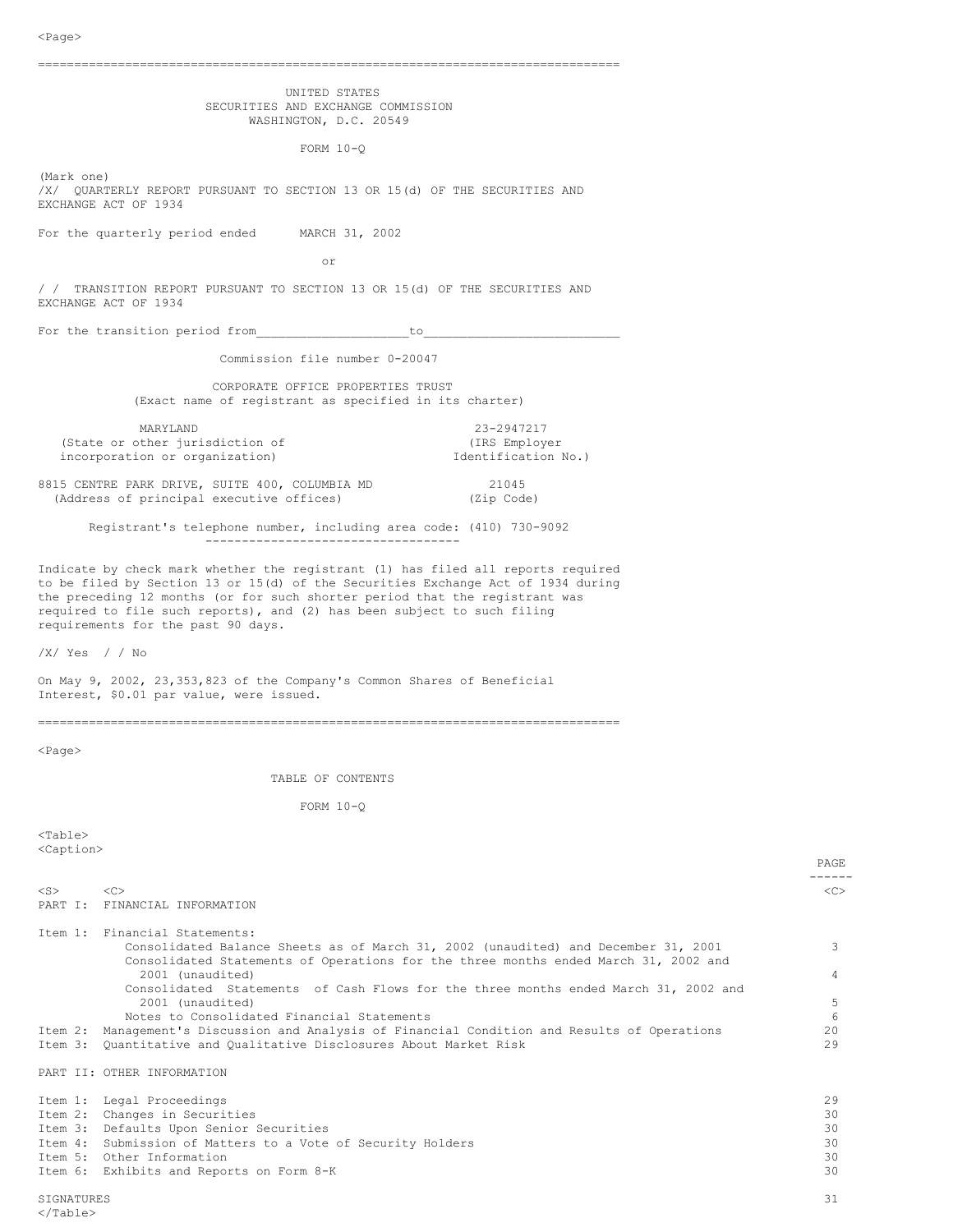| ∼raye⁄                                                                                                                                                                                                                                                                                                 |          |
|--------------------------------------------------------------------------------------------------------------------------------------------------------------------------------------------------------------------------------------------------------------------------------------------------------|----------|
| UNITED STATES<br>SECURITIES AND EXCHANGE COMMISSION<br>WASHINGTON, D.C. 20549                                                                                                                                                                                                                          |          |
| FORM $10-0$                                                                                                                                                                                                                                                                                            |          |
| (Mark one)<br>/X/ QUARTERLY REPORT PURSUANT TO SECTION 13 OR 15(d) OF THE SECURITIES AND<br>EXCHANGE ACT OF 1934                                                                                                                                                                                       |          |
| For the quarterly period ended MARCH 31, 2002                                                                                                                                                                                                                                                          |          |
| or                                                                                                                                                                                                                                                                                                     |          |
| / / TRANSITION REPORT PURSUANT TO SECTION 13 OR 15(d) OF THE SECURITIES AND<br>EXCHANGE ACT OF 1934                                                                                                                                                                                                    |          |
| For the transition period from The to to the transition of the set of the set of the set of the set of the set o                                                                                                                                                                                       |          |
| Commission file number 0-20047                                                                                                                                                                                                                                                                         |          |
| CORPORATE OFFICE PROPERTIES TRUST<br>(Exact name of registrant as specified in its charter)                                                                                                                                                                                                            |          |
| 23-2947217<br>MARYLAND<br>(State or other jurisdiction of<br>(IRS Employer<br>incorporation or organization)<br>Identification No.)                                                                                                                                                                    |          |
| 8815 CENTRE PARK DRIVE, SUITE 400, COLUMBIA MD<br>21045<br>(Address of principal executive offices)<br>(Zip Code)                                                                                                                                                                                      |          |
| Registrant's telephone number, including area code: (410) 730-9092<br>-----------------------------------                                                                                                                                                                                              |          |
| to be filed by Section 13 or 15(d) of the Securities Exchange Act of 1934 during<br>the preceding 12 months (or for such shorter period that the registrant was<br>required to file such reports), and (2) has been subject to such filing<br>requirements for the past 90 days.<br>$/X/$ Yes $/$ / No |          |
| On May 9, 2002, 23,353,823 of the Company's Common Shares of Beneficial<br>Interest, \$0.01 par value, were issued.                                                                                                                                                                                    |          |
| $<$ Page $>$                                                                                                                                                                                                                                                                                           |          |
| TABLE OF CONTENTS                                                                                                                                                                                                                                                                                      |          |
| FORM $10-Q$                                                                                                                                                                                                                                                                                            |          |
| $<$ Table $>$<br><caption></caption>                                                                                                                                                                                                                                                                   |          |
|                                                                                                                                                                                                                                                                                                        | PAGE     |
| $<$ S $>$<br><<<br>PART I:<br>FINANCIAL INFORMATION                                                                                                                                                                                                                                                    | <<       |
| Item 1: Financial Statements:<br>Consolidated Balance Sheets as of March 31, 2002 (unaudited) and December 31, 2001<br>Consolidated Statements of Operations for the three months ended March 31, 2002 and<br>2001 (unaudited)                                                                         | 3<br>4   |
| Consolidated Statements of Cash Flows for the three months ended March 31, 2002 and<br>2001 (unaudited)<br>Notes to Consolidated Financial Statements                                                                                                                                                  | 5<br>6   |
| Management's Discussion and Analysis of Financial Condition and Results of Operations<br>Item 2:<br>Quantitative and Qualitative Disclosures About Market Risk<br>Item 3:                                                                                                                              | 20<br>29 |
| PART II: OTHER INFORMATION                                                                                                                                                                                                                                                                             |          |
| Item 1: Legal Proceedings<br>Item 2: Changes in Securities                                                                                                                                                                                                                                             | 29<br>30 |

Item 3: Defaults Upon Senior Securities 30 Item 4: Submission of Matters to a Vote of Security Holders 30

Item 5: Other Information 30 Item 6: Exhibits and Reports on Form 8-K 30 SIGNATURES 31 </Table>

PAGE -------<br><c>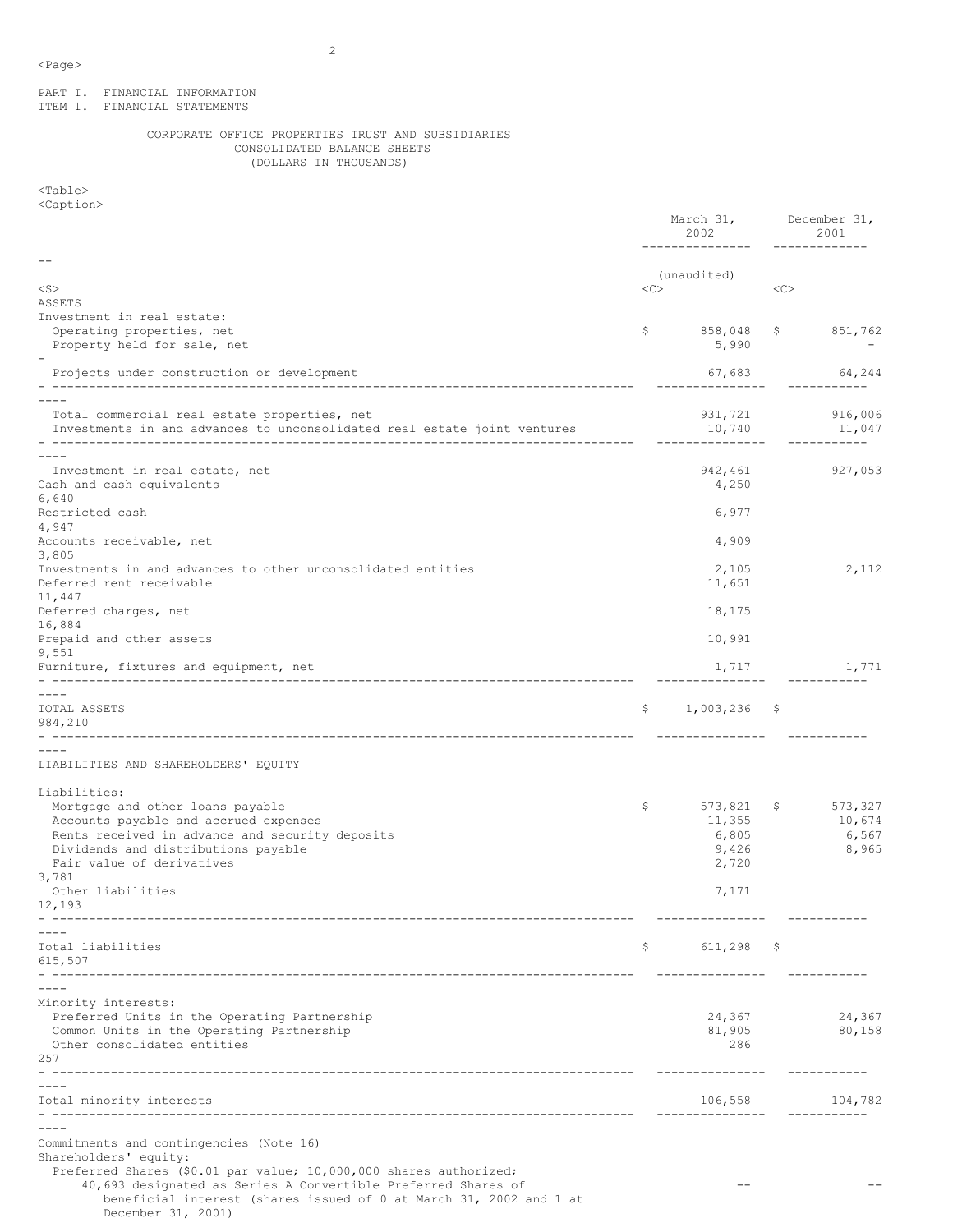PART I. FINANCIAL INFORMATION ITEM 1. FINANCIAL STATEMENTS

# CORPORATE OFFICE PROPERTIES TRUST AND SUBSIDIARIES CONSOLIDATED BALANCE SHEETS (DOLLARS IN THOUSANDS)

<Table> <Caption>

|                                                                                                                                                                                                                  |    | March 31,<br>2002                            |     | December 31,<br>2001                |  |
|------------------------------------------------------------------------------------------------------------------------------------------------------------------------------------------------------------------|----|----------------------------------------------|-----|-------------------------------------|--|
| $<$ S $>$<br>ASSETS                                                                                                                                                                                              |    | (unaudited)                                  | <<  |                                     |  |
| Investment in real estate:                                                                                                                                                                                       |    |                                              |     |                                     |  |
| Operating properties, net<br>Property held for sale, net                                                                                                                                                         | \$ | 858,048<br>5,990                             |     | \$851,762                           |  |
| Projects under construction or development                                                                                                                                                                       |    | 67,683                                       |     | 64,244                              |  |
| Total commercial real estate properties, net<br>Investments in and advances to unconsolidated real estate joint ventures                                                                                         |    | 931,721<br>10,740                            |     | 916,006<br>11,047                   |  |
| Investment in real estate, net<br>Cash and cash equivalents<br>6,640                                                                                                                                             |    | 942,461<br>4,250                             |     | 927,053                             |  |
| Restricted cash<br>4,947                                                                                                                                                                                         |    | 6,977                                        |     |                                     |  |
| Accounts receivable, net<br>3,805                                                                                                                                                                                |    | 4,909                                        |     |                                     |  |
| Investments in and advances to other unconsolidated entities<br>Deferred rent receivable<br>11,447                                                                                                               |    | 2,105<br>11,651                              |     | 2,112                               |  |
| Deferred charges, net<br>16,884                                                                                                                                                                                  |    | 18,175                                       |     |                                     |  |
| Prepaid and other assets<br>9,551                                                                                                                                                                                |    | 10,991                                       |     |                                     |  |
| Furniture, fixtures and equipment, net                                                                                                                                                                           |    | 1,717                                        |     | 1,771                               |  |
| $- - - -$<br>TOTAL ASSETS<br>984,210<br>-------------------------------------                                                                                                                                    | Ş. | $1,003,236$ \$                               |     |                                     |  |
| LIABILITIES AND SHAREHOLDERS' EQUITY                                                                                                                                                                             |    |                                              |     |                                     |  |
| Liabilities:<br>Mortgage and other loans payable<br>Accounts payable and accrued expenses<br>Rents received in advance and security deposits<br>Dividends and distributions payable<br>Fair value of derivatives | \$ | 573,821<br>11,355<br>6,805<br>9,426<br>2,720 | \$. | 573,327<br>10,674<br>6,567<br>8,965 |  |
| 3,781<br>Other liabilities<br>12,193                                                                                                                                                                             |    | 7,171                                        |     |                                     |  |
| Total liabilities<br>615,507                                                                                                                                                                                     | \$ | $611,298$ \$                                 |     |                                     |  |
|                                                                                                                                                                                                                  |    |                                              |     |                                     |  |
| Minority interests:<br>Preferred Units in the Operating Partnership<br>Common Units in the Operating Partnership<br>Other consolidated entities<br>257                                                           |    | 24,367<br>81,905<br>286                      |     | 24,367<br>80,158                    |  |
|                                                                                                                                                                                                                  |    |                                              |     |                                     |  |
| Total minority interests                                                                                                                                                                                         |    | 106,558<br>-------------                     |     | 104,782<br>-----------              |  |
| Commitments and contingencies (Note 16)<br>Shareholders' equity:<br>Preferred Shares (\$0.01 par value; 10,000,000 shares authorized;                                                                            |    |                                              |     |                                     |  |
| 40,693 designated as Series A Convertible Preferred Shares of<br>beneficial interest (shares issued of 0 at March 31, 2002 and 1 at<br>December 31, 2001)                                                        |    |                                              |     |                                     |  |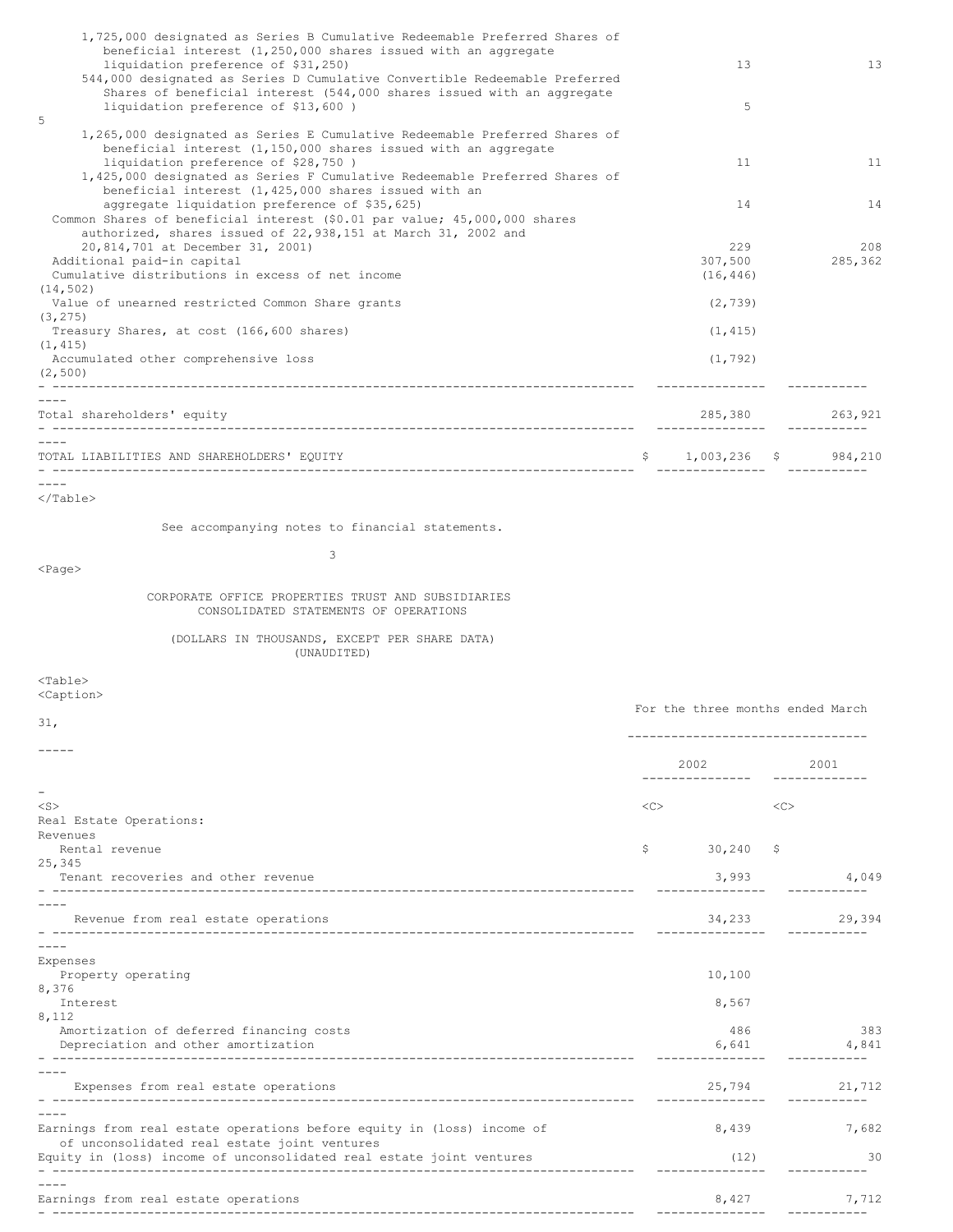| 13                      |
|-------------------------|
|                         |
|                         |
|                         |
|                         |
|                         |
|                         |
| 11                      |
|                         |
| 14                      |
|                         |
|                         |
| 208                     |
| 285,362                 |
|                         |
|                         |
|                         |
|                         |
|                         |
|                         |
|                         |
|                         |
|                         |
| 285,380 263,921         |
|                         |
|                         |
| $$1,003,236$ $$984,210$ |
|                         |
|                         |

See accompanying notes to financial statements.

<Page>

# 3

# CORPORATE OFFICE PROPERTIES TRUST AND SUBSIDIARIES CONSOLIDATED STATEMENTS OF OPERATIONS

(DOLLARS IN THOUSANDS, EXCEPT PER SHARE DATA) (UNAUDITED)

<Table> <Caption>

| 31,                                                                                                                    | For the three months ended March |                            |    |                               |
|------------------------------------------------------------------------------------------------------------------------|----------------------------------|----------------------------|----|-------------------------------|
|                                                                                                                        |                                  |                            |    |                               |
|                                                                                                                        |                                  | 2002<br>_______________    |    | 2001<br>$- - - - - - - - - -$ |
| $\qquad \qquad -$                                                                                                      |                                  |                            |    |                               |
| $<$ S $>$                                                                                                              | $<<$ $<$ $>$                     |                            | << |                               |
| Real Estate Operations:                                                                                                |                                  |                            |    |                               |
| Revenues                                                                                                               |                                  |                            |    |                               |
| Rental revenue                                                                                                         |                                  | $$30,240$ \$               |    |                               |
| 25,345                                                                                                                 |                                  |                            |    |                               |
| Tenant recoveries and other revenue                                                                                    |                                  |                            |    | 3,993 4,049                   |
|                                                                                                                        |                                  |                            |    |                               |
| Revenue from real estate operations                                                                                    |                                  | 34,233<br>________________ |    | 29,394<br>-----------         |
|                                                                                                                        |                                  |                            |    |                               |
| Expenses                                                                                                               |                                  |                            |    |                               |
| Property operating                                                                                                     |                                  | 10,100                     |    |                               |
| 8,376                                                                                                                  |                                  |                            |    |                               |
| Interest                                                                                                               |                                  | 8,567                      |    |                               |
| 8,112                                                                                                                  |                                  |                            |    |                               |
| Amortization of deferred financing costs                                                                               |                                  | 486                        |    | 383                           |
| Depreciation and other amortization                                                                                    |                                  | 6,641                      |    | 4,841                         |
|                                                                                                                        |                                  |                            |    |                               |
| Expenses from real estate operations                                                                                   |                                  | 25,794 21,712              |    |                               |
|                                                                                                                        |                                  |                            |    |                               |
| Earnings from real estate operations before equity in (loss) income of<br>of unconsolidated real estate joint ventures |                                  | 8,439                      |    | 7,682                         |
| Equity in (loss) income of unconsolidated real estate joint ventures                                                   |                                  | (12)                       |    | $\overline{30}$               |
|                                                                                                                        |                                  |                            |    |                               |
| Earnings from real estate operations                                                                                   |                                  |                            |    | 8,427 7,712                   |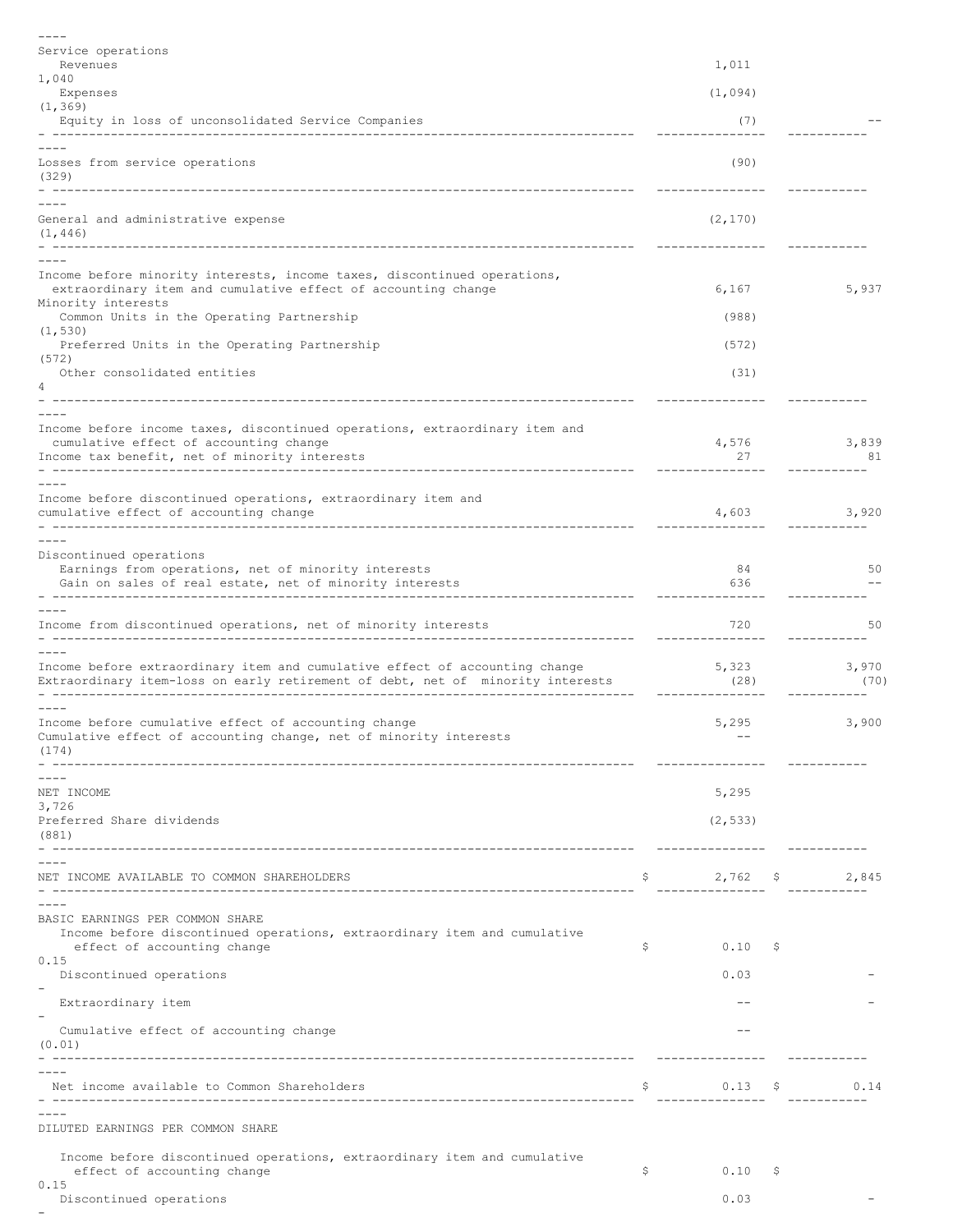| $- - - -$                                                                                                                                                              |     |                   |    |               |
|------------------------------------------------------------------------------------------------------------------------------------------------------------------------|-----|-------------------|----|---------------|
| Service operations<br>Revenues                                                                                                                                         |     | 1,011             |    |               |
| 1,040<br>Expenses                                                                                                                                                      |     | (1,094)           |    |               |
| (1, 369)                                                                                                                                                               |     | (7)               |    |               |
| Equity in loss of unconsolidated Service Companies<br>-----------------------                                                                                          |     |                   |    |               |
| Losses from service operations<br>(329)                                                                                                                                |     | (90)              |    |               |
| General and administrative expense<br>(1, 446)<br>________________                                                                                                     |     | (2, 170)          |    |               |
|                                                                                                                                                                        |     |                   |    |               |
| Income before minority interests, income taxes, discontinued operations,<br>extraordinary item and cumulative effect of accounting change                              |     | 6,167             |    | 5,937         |
| Minority interests<br>Common Units in the Operating Partnership                                                                                                        |     | (988)             |    |               |
| (1, 530)<br>Preferred Units in the Operating Partnership                                                                                                               |     | (572)             |    |               |
| (572)<br>Other consolidated entities                                                                                                                                   |     | (31)              |    |               |
| 4                                                                                                                                                                      |     |                   |    |               |
| Income before income taxes, discontinued operations, extraordinary item and<br>cumulative effect of accounting change<br>Income tax benefit, net of minority interests |     | 4,576<br>27       |    | 3,839<br>81   |
|                                                                                                                                                                        |     |                   |    |               |
| Income before discontinued operations, extraordinary item and<br>cumulative effect of accounting change                                                                |     | 4,603             |    | 3,920         |
|                                                                                                                                                                        |     |                   |    |               |
| Discontinued operations<br>Earnings from operations, net of minority interests<br>Gain on sales of real estate, net of minority interests                              |     | 84<br>636         |    | 50            |
|                                                                                                                                                                        |     |                   |    |               |
| Income from discontinued operations, net of minority interests                                                                                                         |     | 720<br>. <u>.</u> |    | 50            |
| Income before extraordinary item and cumulative effect of accounting change<br>Extraordinary item-loss on early retirement of debt, net of minority interests          |     | 5,323<br>(28)     |    | 3,970<br>(70) |
| Income before cumulative effect of accounting change<br>Cumulative effect of accounting change, net of minority interests<br>(174)                                     |     | 5,295             |    | 3,900         |
|                                                                                                                                                                        |     |                   |    |               |
| NET INCOME<br>3,726                                                                                                                                                    |     | 5,295             |    |               |
| Preferred Share dividends<br>(881)                                                                                                                                     |     | (2, 533)          |    |               |
|                                                                                                                                                                        |     |                   |    |               |
| NET INCOME AVAILABLE TO COMMON SHAREHOLDERS                                                                                                                            | Ş.  | $2,762$ \$ 2,845  |    |               |
| BASIC EARNINGS PER COMMON SHARE<br>Income before discontinued operations, extraordinary item and cumulative                                                            |     |                   |    |               |
| effect of accounting change<br>0.15                                                                                                                                    | \$. | 0.10              | -Ş |               |
| Discontinued operations                                                                                                                                                |     | 0.03              |    |               |
| Extraordinary item                                                                                                                                                     |     |                   |    |               |
| Cumulative effect of accounting change<br>(0.01)                                                                                                                       |     |                   |    |               |
| Net income available to Common Shareholders                                                                                                                            | Ş.  | $0.13$ \$         |    | 0.14          |
| DILUTED EARNINGS PER COMMON SHARE                                                                                                                                      |     |                   |    |               |
| Income before discontinued operations, extraordinary item and cumulative<br>effect of accounting change                                                                | \$  | 0.10              | -Ş |               |
| 0.15<br>Discontinued operations                                                                                                                                        |     | 0.03              |    |               |
|                                                                                                                                                                        |     |                   |    |               |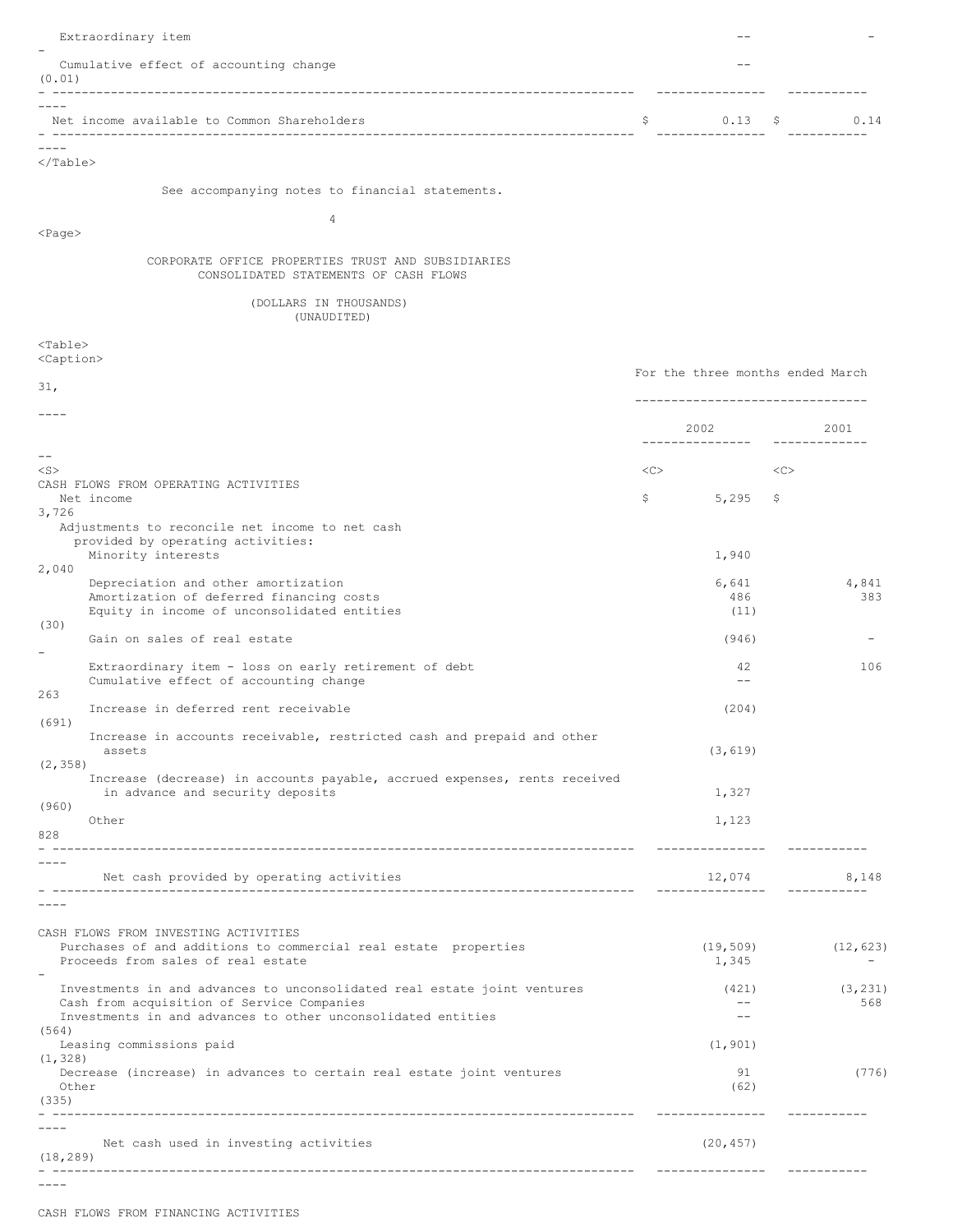| Extraordinary item                                                                                                                            |                                  |                |                      |
|-----------------------------------------------------------------------------------------------------------------------------------------------|----------------------------------|----------------|----------------------|
| Cumulative effect of accounting change<br>(0.01)                                                                                              |                                  |                |                      |
| Net income available to Common Shareholders                                                                                                   | S<br>________________            | 0.13<br>S.     | 0.14<br>-----------  |
| $\langle$ /Table>                                                                                                                             |                                  |                |                      |
| See accompanying notes to financial statements.                                                                                               |                                  |                |                      |
| $\overline{4}$<br>$<$ Page>                                                                                                                   |                                  |                |                      |
| CORPORATE OFFICE PROPERTIES TRUST AND SUBSIDIARIES<br>CONSOLIDATED STATEMENTS OF CASH FLOWS                                                   |                                  |                |                      |
| (DOLLARS IN THOUSANDS)<br>(UNAUDITED)                                                                                                         |                                  |                |                      |
| $Table>$<br><caption></caption>                                                                                                               |                                  |                |                      |
| 31,                                                                                                                                           | For the three months ended March |                |                      |
|                                                                                                                                               |                                  |                |                      |
| $- -$                                                                                                                                         | 2002 2002<br>----------------    |                | 2001<br><u>.</u>     |
| $<$ S $>$<br>CASH FLOWS FROM OPERATING ACTIVITIES                                                                                             | <<                               |                | <<                   |
| Net income<br>3,726                                                                                                                           | \$                               | 5,295<br>\$.   |                      |
| Adjustments to reconcile net income to net cash<br>provided by operating activities:<br>Minority interests                                    |                                  | 1,940          |                      |
| 2,040<br>Depreciation and other amortization                                                                                                  |                                  | 6,641          | 4,841                |
| Amortization of deferred financing costs<br>Equity in income of unconsolidated entities<br>(30)                                               |                                  | 486<br>(11)    | 383                  |
| Gain on sales of real estate                                                                                                                  |                                  | (946)          |                      |
| Extraordinary item - loss on early retirement of debt<br>Cumulative effect of accounting change<br>263                                        |                                  | 42<br>$-$      | 106                  |
| Increase in deferred rent receivable<br>(691)                                                                                                 |                                  | (204)          |                      |
| Increase in accounts receivable, restricted cash and prepaid and other<br>assets                                                              |                                  | (3, 619)       |                      |
| (2, 358)<br>Increase (decrease) in accounts payable, accrued expenses, rents received<br>in advance and security deposits                     | 1,327                            |                |                      |
| (960)<br>Other<br>828                                                                                                                         |                                  | 1,123          |                      |
| Net cash provided by operating activities                                                                                                     | _______________                  | 12,074         | 8,148<br>----------- |
|                                                                                                                                               |                                  |                |                      |
| CASH FLOWS FROM INVESTING ACTIVITIES<br>Purchases of and additions to commercial real estate properties<br>Proceeds from sales of real estate | (19, 509)                        | 1,345          | (12, 623)            |
| Investments in and advances to unconsolidated real estate joint ventures<br>Cash from acquisition of Service Companies                        |                                  | (421)<br>$- -$ | (3, 231)<br>568      |
| Investments in and advances to other unconsolidated entities<br>(564)<br>Leasing commissions paid                                             | (1, 901)                         | $- -$          |                      |
| (1, 328)<br>Decrease (increase) in advances to certain real estate joint ventures<br>Other<br>(335)                                           |                                  | 91<br>(62)     | (776)                |
|                                                                                                                                               | ---------------                  |                | -----------          |
| Net cash used in investing activities<br>(18, 289)                                                                                            | (20, 457)                        |                | -----------          |
|                                                                                                                                               |                                  |                |                      |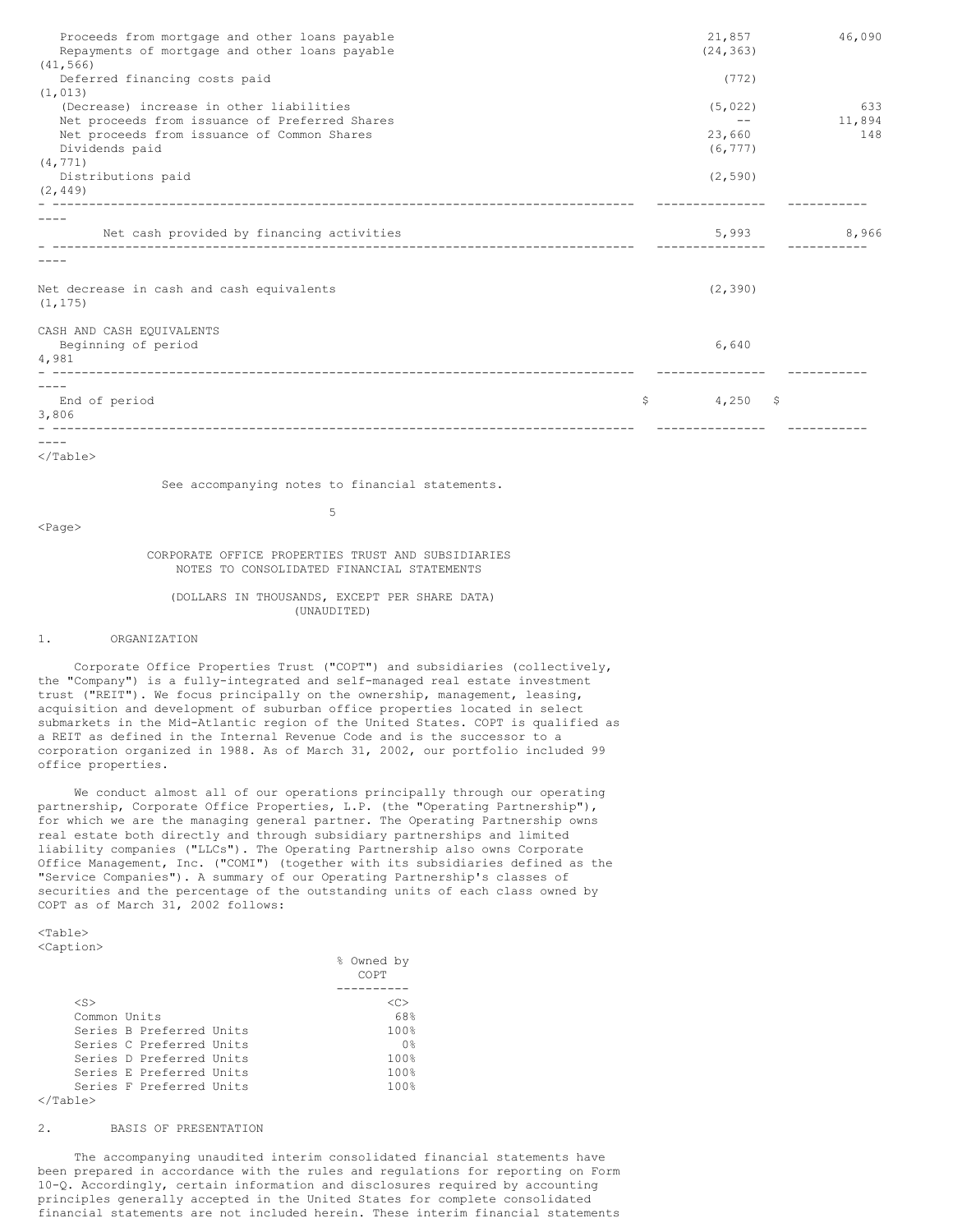| Proceeds from mortgage and other loans payable<br>Repayments of mortgage and other loans payable | 21,857<br>(24, 363) | 46,090 |
|--------------------------------------------------------------------------------------------------|---------------------|--------|
| (41, 566)                                                                                        |                     |        |
| Deferred financing costs paid                                                                    | (772)               |        |
| (1, 013)                                                                                         |                     |        |
| (Decrease) increase in other liabilities                                                         | (5, 022)            | 633    |
| Net proceeds from issuance of Preferred Shares                                                   | $\qquad \qquad -$   | 11,894 |
| Net proceeds from issuance of Common Shares                                                      | 23,660              | 148    |
| Dividends paid                                                                                   | (6, 777)            |        |
| (4, 771)                                                                                         |                     |        |
| Distributions paid                                                                               | (2, 590)            |        |
| (2, 449)                                                                                         |                     |        |
|                                                                                                  |                     |        |
| Net cash provided by financing activities                                                        | 5,993               | 8,966  |
|                                                                                                  |                     |        |
| Net decrease in cash and cash equivalents<br>(1, 175)                                            | (2, 390)            |        |
|                                                                                                  |                     |        |
| CASH AND CASH EQUIVALENTS                                                                        |                     |        |
| Beginning of period                                                                              | 6,640               |        |
| 4,981                                                                                            |                     |        |
|                                                                                                  |                     |        |
| End of period                                                                                    | \$<br>$4,250$ \$    |        |
| 3,806                                                                                            |                     |        |
|                                                                                                  |                     |        |
|                                                                                                  |                     |        |
| $\langle$ /Table>                                                                                |                     |        |

See accompanying notes to financial statements. 5

<Page>

# CORPORATE OFFICE PROPERTIES TRUST AND SUBSIDIARIES NOTES TO CONSOLIDATED FINANCIAL STATEMENTS

(DOLLARS IN THOUSANDS, EXCEPT PER SHARE DATA) (UNAUDITED)

### 1. ORGANIZATION

Corporate Office Properties Trust ("COPT") and subsidiaries (collectively, the "Company") is a fully-integrated and self-managed real estate investment trust ("REIT"). We focus principally on the ownership, management, leasing, acquisition and development of suburban office properties located in select submarkets in the Mid-Atlantic region of the United States. COPT is qualified as a REIT as defined in the Internal Revenue Code and is the successor to a corporation organized in 1988. As of March 31, 2002, our portfolio included 99 office properties.

We conduct almost all of our operations principally through our operating partnership, Corporate Office Properties, L.P. (the "Operating Partnership"), for which we are the managing general partner. The Operating Partnership owns real estate both directly and through subsidiary partnerships and limited liability companies ("LLCs"). The Operating Partnership also owns Corporate Office Management, Inc. ("COMI") (together with its subsidiaries defined as the "Service Companies"). A summary of our Operating Partnership's classes of securities and the percentage of the outstanding units of each class owned by COPT as of March 31, 2002 follows:

<Table> <Caption>

|              |                          | ⊱ | Owned by<br>COPT   |
|--------------|--------------------------|---|--------------------|
|              |                          |   |                    |
| $<$ S $>$    |                          |   | <c></c>            |
| Common Units |                          |   | 68%                |
|              | Series B Preferred Units |   | 100%               |
|              | Series C Preferred Units |   | 0 <sup>°</sup>     |
|              | Series D Preferred Units |   | 100%               |
|              | Series E Preferred Units |   | $100$ <sup>2</sup> |
|              | Series F Preferred Units |   | $100$ <sup>2</sup> |
| حملطت        |                          |   |                    |

<sup>&</sup>lt;/Table>

### 2. BASIS OF PRESENTATION

The accompanying unaudited interim consolidated financial statements have been prepared in accordance with the rules and regulations for reporting on Form 10-Q. Accordingly, certain information and disclosures required by accounting principles generally accepted in the United States for complete consolidated financial statements are not included herein. These interim financial statements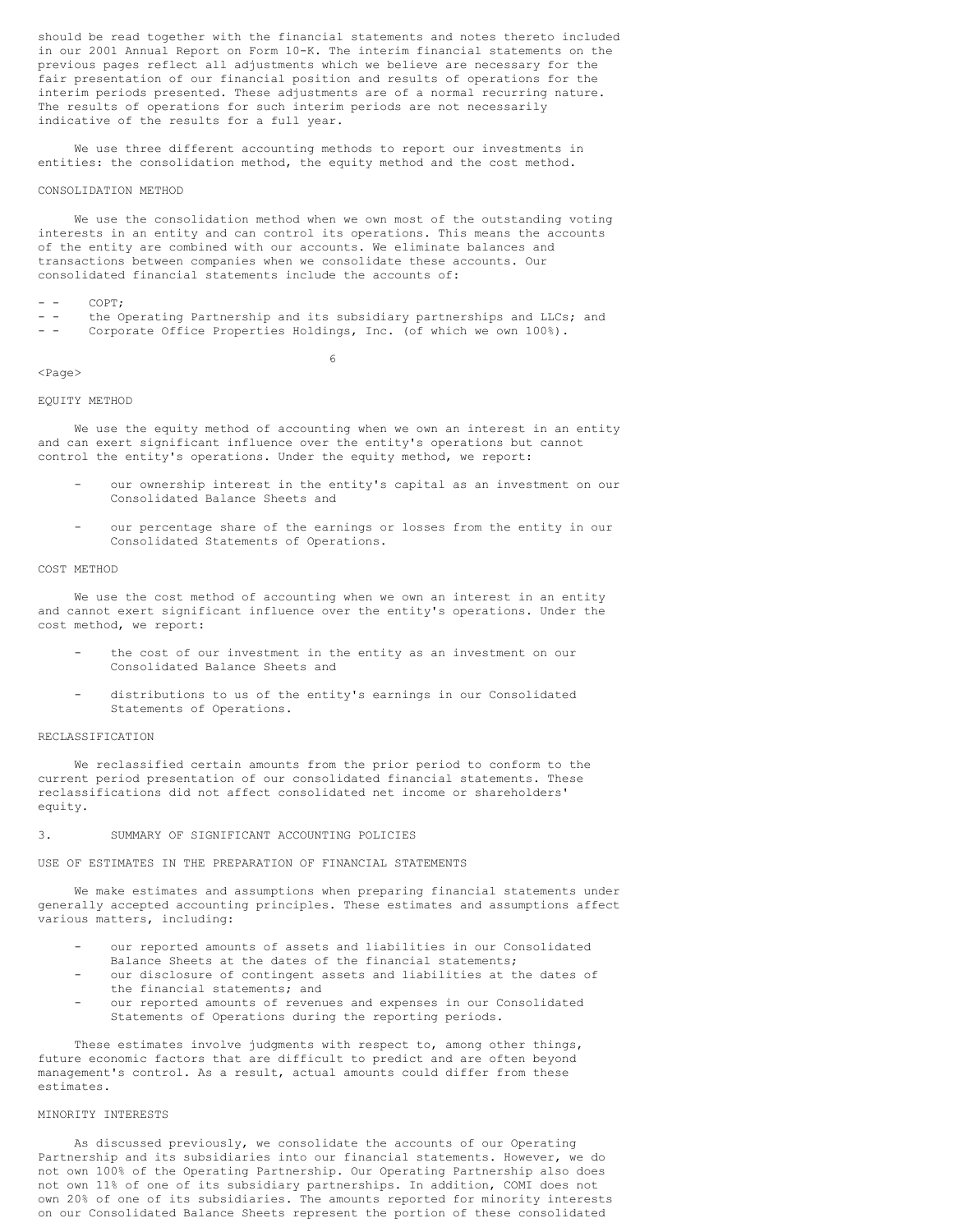should be read together with the financial statements and notes thereto included in our 2001 Annual Report on Form 10-K. The interim financial statements on the previous pages reflect all adjustments which we believe are necessary for the fair presentation of our financial position and results of operations for the interim periods presented. These adjustments are of a normal recurring nature. The results of operations for such interim periods are not necessarily indicative of the results for a full year.

We use three different accounting methods to report our investments in entities: the consolidation method, the equity method and the cost method.

#### CONSOLIDATION METHOD

We use the consolidation method when we own most of the outstanding voting interests in an entity and can control its operations. This means the accounts of the entity are combined with our accounts. We eliminate balances and transactions between companies when we consolidate these accounts. Our consolidated financial statements include the accounts of:

### $- -$  COPT:

- - the Operating Partnership and its subsidiary partnerships and LLCs; and - - Corporate Office Properties Holdings, Inc. (of which we own 100%).

6

#### <Page>

### EQUITY METHOD

We use the equity method of accounting when we own an interest in an entity and can exert significant influence over the entity's operations but cannot control the entity's operations. Under the equity method, we report:

- our ownership interest in the entity's capital as an investment on our Consolidated Balance Sheets and
- our percentage share of the earnings or losses from the entity in our Consolidated Statements of Operations.

#### COST METHOD

We use the cost method of accounting when we own an interest in an entity and cannot exert significant influence over the entity's operations. Under the cost method, we report:

- the cost of our investment in the entity as an investment on our Consolidated Balance Sheets and
- distributions to us of the entity's earnings in our Consolidated Statements of Operations.

#### RECLASSIFICATION

We reclassified certain amounts from the prior period to conform to the current period presentation of our consolidated financial statements. These reclassifications did not affect consolidated net income or shareholders' equity.

### 3. SUMMARY OF SIGNIFICANT ACCOUNTING POLICIES

USE OF ESTIMATES IN THE PREPARATION OF FINANCIAL STATEMENTS

We make estimates and assumptions when preparing financial statements under generally accepted accounting principles. These estimates and assumptions affect various matters, including:

- our reported amounts of assets and liabilities in our Consolidated Balance Sheets at the dates of the financial statements;
- our disclosure of contingent assets and liabilities at the dates of
- the financial statements; and our reported amounts of revenues and expenses in our Consolidated
- Statements of Operations during the reporting periods.

These estimates involve judgments with respect to, among other things, future economic factors that are difficult to predict and are often beyond management's control. As a result, actual amounts could differ from these estimates.

# MINORITY INTERESTS

As discussed previously, we consolidate the accounts of our Operating Partnership and its subsidiaries into our financial statements. However, we do not own 100% of the Operating Partnership. Our Operating Partnership also does not own 11% of one of its subsidiary partnerships. In addition, COMI does not own 20% of one of its subsidiaries. The amounts reported for minority interests on our Consolidated Balance Sheets represent the portion of these consolidated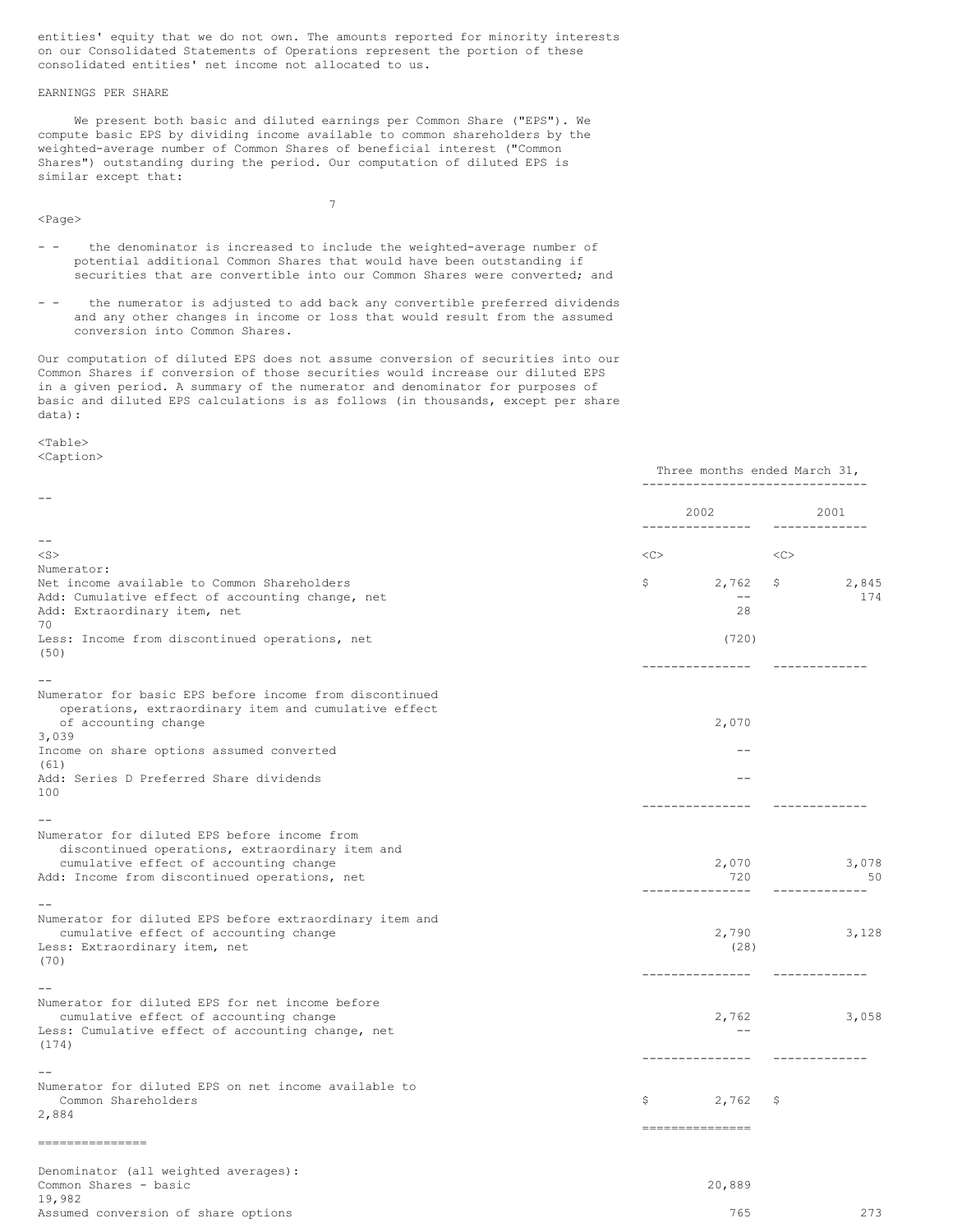entities' equity that we do not own. The amounts reported for minority interests on our Consolidated Statements of Operations represent the portion of these consolidated entities' net income not allocated to us.

# EARNINGS PER SHARE

We present both basic and diluted earnings per Common Share ("EPS"). We compute basic EPS by dividing income available to common shareholders by the weighted-average number of Common Shares of beneficial interest ("Common Shares") outstanding during the period. Our computation of diluted EPS is similar except that:

<Page>

- - the denominator is increased to include the weighted-average number of potential additional Common Shares that would have been outstanding if securities that are convertible into our Common Shares were converted; and

7

- - the numerator is adjusted to add back any convertible preferred dividends and any other changes in income or loss that would result from the assumed conversion into Common Shares.

Our computation of diluted EPS does not assume conversion of securities into our Common Shares if conversion of those securities would increase our diluted EPS in a given period. A summary of the numerator and denominator for purposes of basic and diluted EPS calculations is as follows (in thousands, except per share data):

### <Table> <Caption>

|                                                                                                                                           |           | Three months ended March 31,<br>_____________________________ |               |                       |  |
|-------------------------------------------------------------------------------------------------------------------------------------------|-----------|---------------------------------------------------------------|---------------|-----------------------|--|
|                                                                                                                                           |           | 2002<br>--------------                                        |               | 2001<br>------------- |  |
| $- -$                                                                                                                                     |           |                                                               |               |                       |  |
| $<$ S $>$                                                                                                                                 | $<\infty$ |                                                               | <<            |                       |  |
| Numerator:                                                                                                                                |           |                                                               |               |                       |  |
| Net income available to Common Shareholders                                                                                               | \$        | $2,762$ \$                                                    |               | 2,845                 |  |
| Add: Cumulative effect of accounting change, net                                                                                          |           | $--$                                                          |               | 174                   |  |
| Add: Extraordinary item, net                                                                                                              |           | 28                                                            |               |                       |  |
| 70<br>Less: Income from discontinued operations, net                                                                                      |           | (720)                                                         |               |                       |  |
| (50)                                                                                                                                      |           |                                                               |               |                       |  |
|                                                                                                                                           |           | ---------------                                               |               |                       |  |
| Numerator for basic EPS before income from discontinued<br>operations, extraordinary item and cumulative effect                           |           |                                                               |               |                       |  |
| of accounting change<br>3,039                                                                                                             |           | 2,070                                                         |               |                       |  |
| Income on share options assumed converted<br>(61)                                                                                         |           |                                                               |               |                       |  |
| Add: Series D Preferred Share dividends                                                                                                   |           | $-$                                                           |               |                       |  |
| 100                                                                                                                                       |           | ----------                                                    |               |                       |  |
|                                                                                                                                           |           |                                                               |               |                       |  |
| Numerator for diluted EPS before income from<br>discontinued operations, extraordinary item and<br>cumulative effect of accounting change |           | 2,070                                                         |               | 3,078                 |  |
| Add: Income from discontinued operations, net                                                                                             |           | 720                                                           |               | 50                    |  |
| Numerator for diluted EPS before extraordinary item and                                                                                   |           |                                                               |               |                       |  |
| cumulative effect of accounting change                                                                                                    |           | 2,790                                                         |               | 3,128                 |  |
| Less: Extraordinary item, net                                                                                                             |           | (28)                                                          |               |                       |  |
| (70)                                                                                                                                      |           |                                                               |               |                       |  |
|                                                                                                                                           |           | ---------------                                               | ------------- |                       |  |
|                                                                                                                                           |           |                                                               |               |                       |  |
| Numerator for diluted EPS for net income before                                                                                           |           | 2,762                                                         |               |                       |  |
| cumulative effect of accounting change<br>Less: Cumulative effect of accounting change, net                                               |           | $-$                                                           |               | 3,058                 |  |
| (174)                                                                                                                                     |           |                                                               |               |                       |  |
|                                                                                                                                           |           | ---------------                                               | ------------- |                       |  |
|                                                                                                                                           |           |                                                               |               |                       |  |
| Numerator for diluted EPS on net income available to<br>Common Shareholders                                                               | \$        | $2,762$ \$                                                    |               |                       |  |
| 2,884                                                                                                                                     |           | ----------------                                              |               |                       |  |
| ---------------                                                                                                                           |           |                                                               |               |                       |  |
| Denominator (all weighted averages):                                                                                                      |           |                                                               |               |                       |  |
| Common Shares - basic                                                                                                                     |           | 20,889                                                        |               |                       |  |
| 19,982                                                                                                                                    |           |                                                               |               |                       |  |
| Assumed conversion of share options                                                                                                       |           | 765                                                           |               | 273                   |  |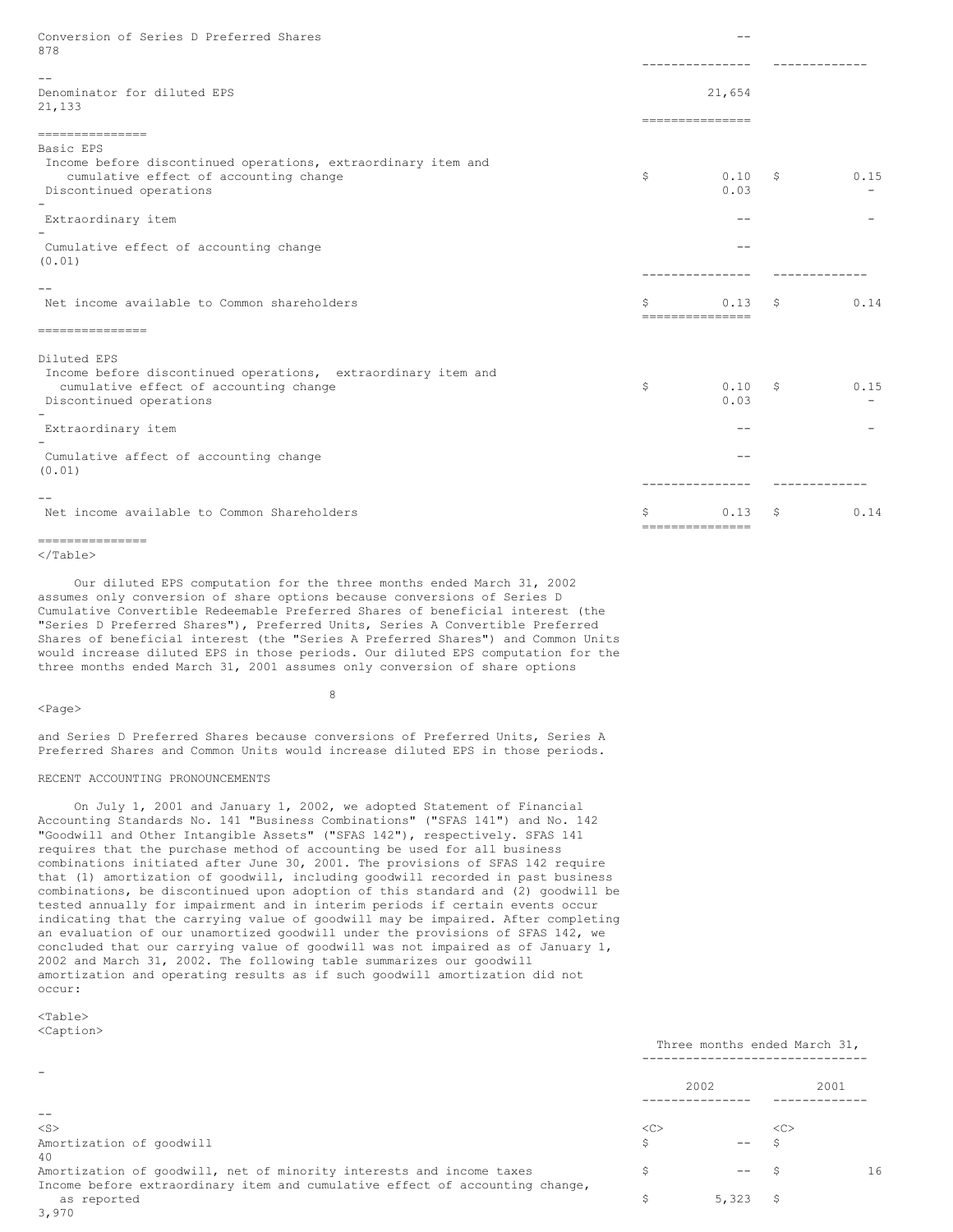| Conversion of Series D Preferred Shares<br>878                                                                                                    |    | $ -$                      |    |      |
|---------------------------------------------------------------------------------------------------------------------------------------------------|----|---------------------------|----|------|
|                                                                                                                                                   |    |                           |    |      |
| Denominator for diluted EPS<br>21,133                                                                                                             |    | 21,654<br>=============== |    |      |
| ---------------                                                                                                                                   |    |                           |    |      |
| Basic EPS<br>Income before discontinued operations, extraordinary item and<br>cumulative effect of accounting change<br>Discontinued operations   | \$ | 0.10<br>0.03              | S. | 0.15 |
| Extraordinary item                                                                                                                                |    | $ -$                      |    |      |
| Cumulative effect of accounting change<br>(0.01)                                                                                                  |    |                           |    |      |
| Net income available to Common shareholders                                                                                                       | Ŝ  | 0.13<br>---------------   | S  | 0.14 |
| ---------------                                                                                                                                   |    |                           |    |      |
| Diluted EPS<br>Income before discontinued operations, extraordinary item and<br>cumulative effect of accounting change<br>Discontinued operations | \$ | 0.10<br>0.03              | S. | 0.15 |
| Extraordinary item                                                                                                                                |    | --                        |    |      |
| Cumulative affect of accounting change<br>(0.01)                                                                                                  |    | $ -$                      |    |      |
| Net income available to Common Shareholders                                                                                                       | Ŝ  | 0.13<br>---------------   | S  | 0.14 |
| ---------------                                                                                                                                   |    |                           |    |      |

Our diluted EPS computation for the three months ended March 31, 2002 assumes only conversion of share options because conversions of Series D Cumulative Convertible Redeemable Preferred Shares of beneficial interest (the "Series D Preferred Shares"), Preferred Units, Series A Convertible Preferred Shares of beneficial interest (the "Series A Preferred Shares") and Common Units would increase diluted EPS in those periods. Our diluted EPS computation for the three months ended March 31, 2001 assumes only conversion of share options

 $<$ Page $>$ 

8

and Series D Preferred Shares because conversions of Preferred Units, Series A Preferred Shares and Common Units would increase diluted EPS in those periods.

# RECENT ACCOUNTING PRONOUNCEMENTS

On July 1, 2001 and January 1, 2002, we adopted Statement of Financial Accounting Standards No. 141 "Business Combinations" ("SFAS 141") and No. 142 "Goodwill and Other Intangible Assets" ("SFAS 142"), respectively. SFAS 141 requires that the purchase method of accounting be used for all business combinations initiated after June 30, 2001. The provisions of SFAS 142 require that (1) amortization of goodwill, including goodwill recorded in past business combinations, be discontinued upon adoption of this standard and (2) goodwill be tested annually for impairment and in interim periods if certain events occur indicating that the carrying value of goodwill may be impaired. After completing an evaluation of our unamortized goodwill under the provisions of SFAS 142, we concluded that our carrying value of goodwill was not impaired as of January 1, 2002 and March 31, 2002. The following table summarizes our goodwill amortization and operating results as if such goodwill amortization did not occur:

 $<$ Table $>$ <Caption>

|                                                                              |    | Three months ended March 31, |    |      |
|------------------------------------------------------------------------------|----|------------------------------|----|------|
|                                                                              |    | 2002                         |    | 2001 |
|                                                                              |    |                              |    |      |
| $<$ S $>$                                                                    | << |                              | << |      |
| Amortization of goodwill                                                     | Ŝ  |                              |    |      |
| 40                                                                           |    |                              |    |      |
| Amortization of goodwill, net of minority interests and income taxes         | Ŝ  | $- -$                        |    | 16   |
| Income before extraordinary item and cumulative effect of accounting change, |    |                              |    |      |
| as reported                                                                  | S  | 5,323                        | S  |      |
| 3,970                                                                        |    |                              |    |      |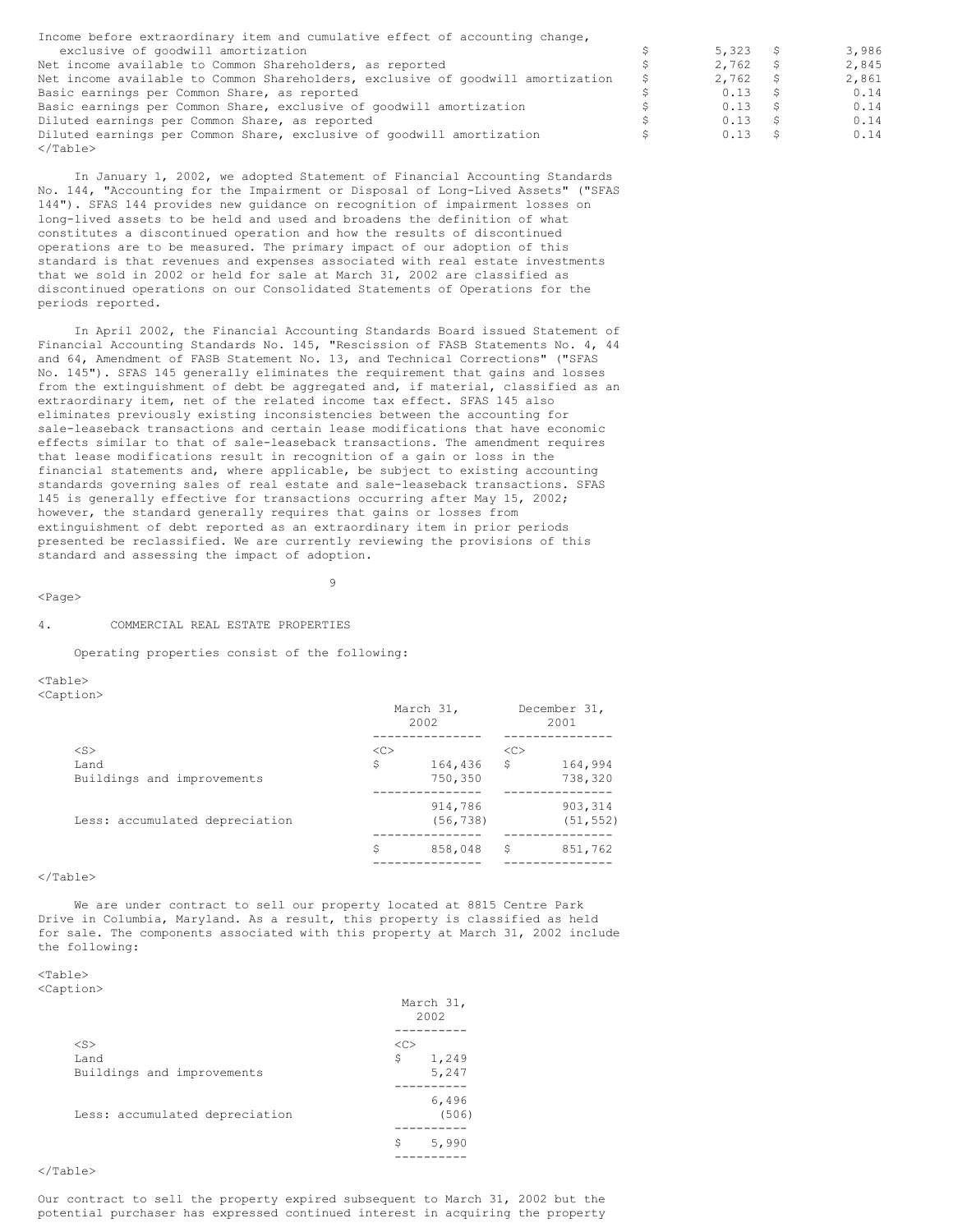| Income before extraordinary item and cumulative effect of accounting change,    |    |       |       |
|---------------------------------------------------------------------------------|----|-------|-------|
| exclusive of goodwill amortization                                              |    | 5,323 | 3,986 |
| Net income available to Common Shareholders, as reported                        |    | 2,762 | 2,845 |
| Net income available to Common Shareholders, exclusive of goodwill amortization | S. | 2,762 | 2,861 |
| Basic earnings per Common Share, as reported                                    |    | 0.13  | 0.14  |
| Basic earnings per Common Share, exclusive of goodwill amortization             |    | 0.13  | 0.14  |
| Diluted earnings per Common Share, as reported                                  |    | 0.13  | 0.14  |
| Diluted earnings per Common Share, exclusive of goodwill amortization           |    | 0.13  | 0.14  |
| $\langle$ /Table>                                                               |    |       |       |

In January 1, 2002, we adopted Statement of Financial Accounting Standards No. 144, "Accounting for the Impairment or Disposal of Long-Lived Assets" ("SFAS 144"). SFAS 144 provides new guidance on recognition of impairment losses on long-lived assets to be held and used and broadens the definition of what constitutes a discontinued operation and how the results of discontinued operations are to be measured. The primary impact of our adoption of this standard is that revenues and expenses associated with real estate investments that we sold in 2002 or held for sale at March 31, 2002 are classified as discontinued operations on our Consolidated Statements of Operations for the periods reported.

In April 2002, the Financial Accounting Standards Board issued Statement of Financial Accounting Standards No. 145, "Rescission of FASB Statements No. 4, 44 and 64, Amendment of FASB Statement No. 13, and Technical Corrections" ("SFAS No. 145"). SFAS 145 generally eliminates the requirement that gains and losses from the extinguishment of debt be aggregated and, if material, classified as an extraordinary item, net of the related income tax effect. SFAS 145 also eliminates previously existing inconsistencies between the accounting for sale-leaseback transactions and certain lease modifications that have economic effects similar to that of sale-leaseback transactions. The amendment requires that lease modifications result in recognition of a gain or loss in the financial statements and, where applicable, be subject to existing accounting standards governing sales of real estate and sale-leaseback transactions. SFAS 145 is generally effective for transactions occurring after May 15, 2002; however, the standard generally requires that gains or losses from extinguishment of debt reported as an extraordinary item in prior periods presented be reclassified. We are currently reviewing the provisions of this standard and assessing the impact of adoption.

 $\ddot{9}$ 

 $<$ Page $>$ 

### 4. COMMERCIAL REAL ESTATE PROPERTIES

Operating properties consist of the following:

 $<$ Table $>$ <Caption>

|                                |    | March 31,<br>2002 | December 31,<br>2001 |           |  |
|--------------------------------|----|-------------------|----------------------|-----------|--|
| $<$ S $>$                      | << |                   | <<                   |           |  |
| Land                           | \$ | 164,436           | \$                   | 164,994   |  |
| Buildings and improvements     |    | 750,350           |                      | 738,320   |  |
|                                |    | 914,786           |                      | 903, 314  |  |
| Less: accumulated depreciation |    | (56, 738)         |                      | (51, 552) |  |
|                                | \$ | 858,048           | S                    | 851,762   |  |
|                                |    |                   |                      |           |  |

 $\langle$ Table $\rangle$ 

We are under contract to sell our property located at 8815 Centre Park Drive in Columbia, Maryland. As a result, this property is classified as held for sale. The components associated with this property at March 31, 2002 include the following:

# $<sub>Th</sub>$ </sub>

|                                | March 31,<br>2002 |       |  |
|--------------------------------|-------------------|-------|--|
|                                |                   |       |  |
| $<$ S $>$                      | <<                |       |  |
| Land                           | \$                | 1,249 |  |
| Buildings and improvements     |                   | 5,247 |  |
|                                |                   |       |  |
|                                |                   | 6,496 |  |
| Less: accumulated depreciation |                   | (506) |  |
|                                |                   |       |  |
|                                | \$                | 5,990 |  |
|                                |                   |       |  |

# </Table>

Our contract to sell the property expired subsequent to March 31, 2002 but the potential purchaser has expressed continued interest in acquiring the property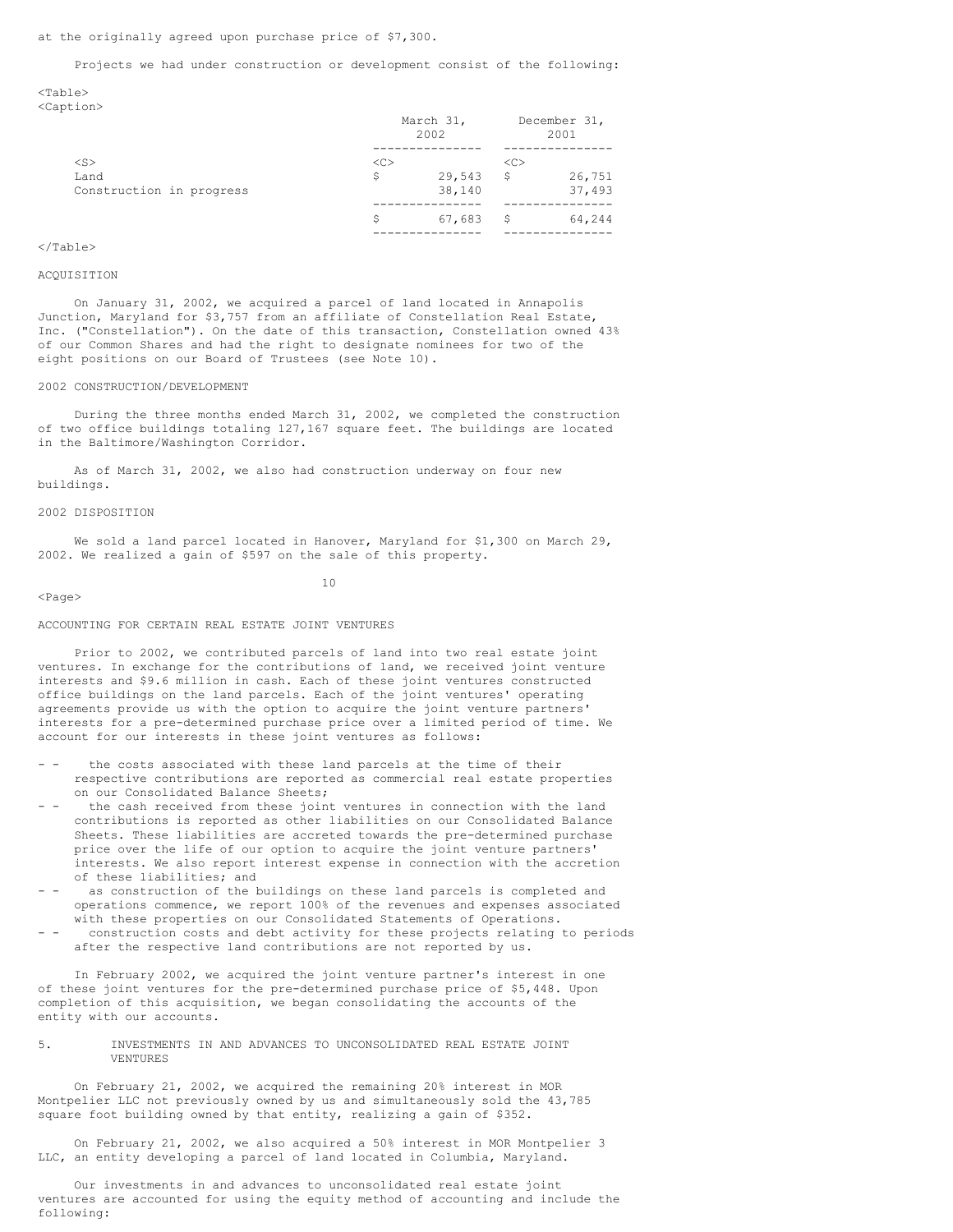### Projects we had under construction or development consist of the following:

 $<$ Table $>$ <Caption>

|                          | March 31,<br>2002 |        | December 31,<br>2001 |        |  |
|--------------------------|-------------------|--------|----------------------|--------|--|
|                          |                   |        |                      |        |  |
| $<$ S $>$                | < <sub></sub>     |        | < <sub></sub>        |        |  |
| Land                     | Ŝ                 | 29,543 | S                    | 26,751 |  |
| Construction in progress |                   | 38,140 |                      | 37,493 |  |
|                          | Ŝ                 | 67,683 | S                    | 64,244 |  |
|                          |                   |        |                      |        |  |

# </Table>

#### ACQUISITION

On January 31, 2002, we acquired a parcel of land located in Annapolis Junction, Maryland for \$3,757 from an affiliate of Constellation Real Estate, Inc. ("Constellation"). On the date of this transaction, Constellation owned 43% of our Common Shares and had the right to designate nominees for two of the eight positions on our Board of Trustees (see Note 10).

### 2002 CONSTRUCTION/DEVELOPMENT

During the three months ended March 31, 2002, we completed the construction of two office buildings totaling 127,167 square feet. The buildings are located in the Baltimore/Washington Corridor.

As of March 31, 2002, we also had construction underway on four new buildings.

# 2002 DISPOSITION

We sold a land parcel located in Hanover, Maryland for \$1,300 on March 29, 2002. We realized a gain of \$597 on the sale of this property.

 $<$ Page $>$ 

10

### ACCOUNTING FOR CERTAIN REAL ESTATE JOINT VENTURES

Prior to 2002, we contributed parcels of land into two real estate joint ventures. In exchange for the contributions of land, we received joint venture interests and \$9.6 million in cash. Each of these joint ventures constructed office buildings on the land parcels. Each of the joint ventures' operating agreements provide us with the option to acquire the joint venture partners' interests for a pre-determined purchase price over a limited period of time. We account for our interests in these joint ventures as follows:

- - the costs associated with these land parcels at the time of their respective contributions are reported as commercial real estate properties on our Consolidated Balance Sheets;
- the cash received from these joint ventures in connection with the land contributions is reported as other liabilities on our Consolidated Balance Sheets. These liabilities are accreted towards the pre-determined purchase price over the life of our option to acquire the joint venture partners' interests. We also report interest expense in connection with the accretion of these liabilities; and
- as construction of the buildings on these land parcels is completed and operations commence, we report 100% of the revenues and expenses associated with these properties on our Consolidated Statements of Operations.
- construction costs and debt activity for these projects relating to periods after the respective land contributions are not reported by us.

In February 2002, we acquired the joint venture partner's interest in one of these joint ventures for the pre-determined purchase price of \$5,448. Upon completion of this acquisition, we began consolidating the accounts of the entity with our accounts.

5. INVESTMENTS IN AND ADVANCES TO UNCONSOLIDATED REAL ESTATE JOINT VENTURES

On February 21, 2002, we acquired the remaining 20% interest in MOR Montpelier LLC not previously owned by us and simultaneously sold the 43,785 square foot building owned by that entity, realizing a gain of \$352.

On February 21, 2002, we also acquired a 50% interest in MOR Montpelier 3 LLC, an entity developing a parcel of land located in Columbia, Maryland.

Our investments in and advances to unconsolidated real estate joint ventures are accounted for using the equity method of accounting and include the following: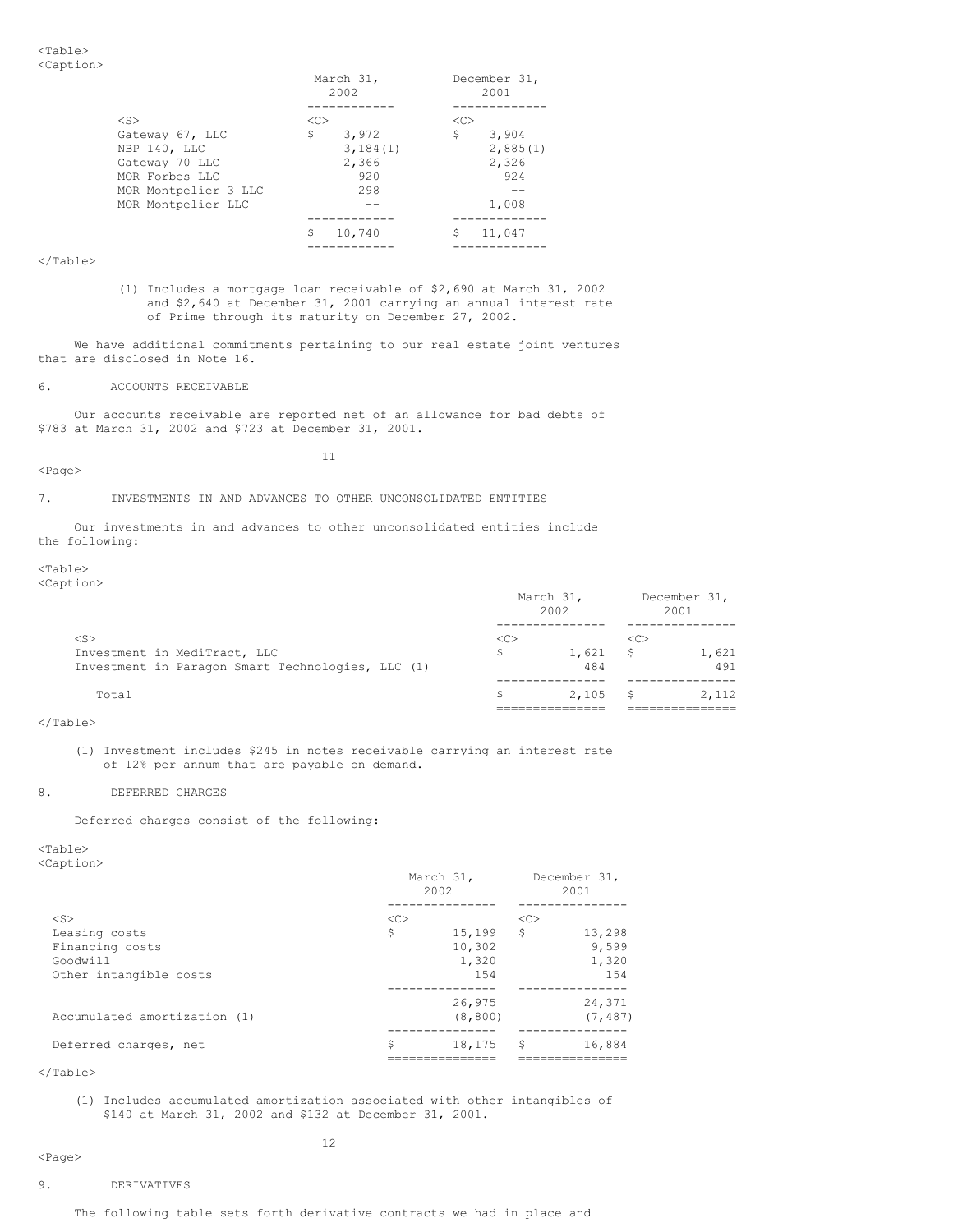|                      |               | March 31,<br>2002 |    | December 31,<br>2001 |  |  |  |
|----------------------|---------------|-------------------|----|----------------------|--|--|--|
|                      |               |                   |    |                      |  |  |  |
| $<$ S $>$            | < <sub></sub> |                   | << |                      |  |  |  |
| Gateway 67, LLC      | \$            | 3,972             | \$ | 3,904                |  |  |  |
| NBP 140, LLC         |               | 3,184(1)          |    | 2,885(1)             |  |  |  |
| Gateway 70 LLC       |               | 2,366             |    | 2,326                |  |  |  |
| MOR Forbes LLC       |               | 920               |    | 924                  |  |  |  |
| MOR Montpelier 3 LLC |               | 298               |    |                      |  |  |  |
| MOR Montpelier LLC   |               |                   |    | 1,008                |  |  |  |
|                      |               |                   |    |                      |  |  |  |
|                      | Ŝ             | 10,740            | \$ | 11,047               |  |  |  |
|                      |               |                   |    |                      |  |  |  |

(1) Includes a mortgage loan receivable of \$2,690 at March 31, 2002 and \$2,640 at December 31, 2001 carrying an annual interest rate of Prime through its maturity on December 27, 2002.

We have additional commitments pertaining to our real estate joint ventures that are disclosed in Note 16.

6. ACCOUNTS RECEIVABLE

Our accounts receivable are reported net of an allowance for bad debts of \$783 at March 31, 2002 and \$723 at December 31, 2001.

<Page>

11

7. INVESTMENTS IN AND ADVANCES TO OTHER UNCONSOLIDATED ENTITIES

Our investments in and advances to other unconsolidated entities include the following:

<Table> <Caption>

March 31, December 31, 2002 2001 --------------- --------------- <S> <C> <C> Investment in MediTract, LLC  $$$  1,621 \$ 1,621 Investment in Paragon Smart Technologies, LLC (1) 484 491 Investment in Paragon Smart Technologies, LLC (1) --------------- --------------- Total  $\sim$  2,105 \$ =============== ===============

</Table>

(1) Investment includes \$245 in notes receivable carrying an interest rate of 12% per annum that are payable on demand.

# 8. DEFERRED CHARGES

Deferred charges consist of the following:

<Table> <Caption>

|                              | March 31,<br>2002 |          |    | December 31,<br>2001 |  |  |
|------------------------------|-------------------|----------|----|----------------------|--|--|
|                              |                   |          |    |                      |  |  |
| $<$ S $>$                    | <<                |          | << |                      |  |  |
| Leasing costs                | \$                | 15,199   | S. | 13,298               |  |  |
| Financing costs              |                   | 10,302   |    | 9,599                |  |  |
| Goodwill                     |                   | 1,320    |    | 1,320                |  |  |
| Other intangible costs       |                   | 1.54     |    | 154                  |  |  |
|                              |                   |          |    |                      |  |  |
|                              |                   | 26,975   |    | 24,371               |  |  |
| Accumulated amortization (1) |                   | (8, 800) |    | (7, 487)             |  |  |
|                              |                   |          |    |                      |  |  |
| Deferred charges, net        | Ŝ                 | 18,175   | S  | 16,884               |  |  |
|                              |                   |          |    |                      |  |  |

</Table>

(1) Includes accumulated amortization associated with other intangibles of \$140 at March 31, 2002 and \$132 at December 31, 2001.

12

<Page>

# 9. DERIVATIVES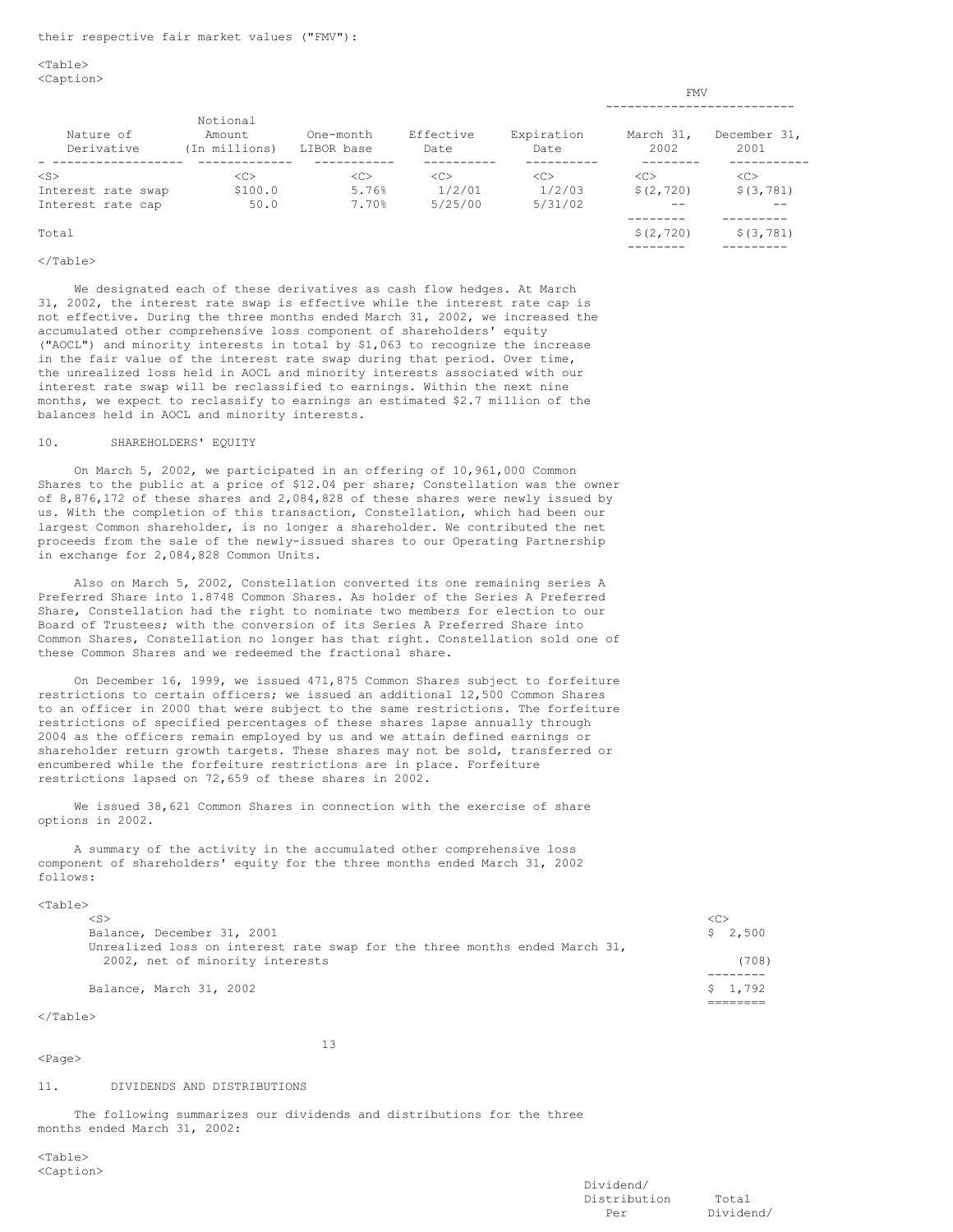$<$ Table $>$ <Caption>

|                         |                                     |                         |                   |                    | <b>LLIV</b>       |                      |
|-------------------------|-------------------------------------|-------------------------|-------------------|--------------------|-------------------|----------------------|
|                         |                                     |                         |                   |                    |                   |                      |
| Nature of<br>Derivative | Notional<br>Amount<br>(In millions) | One-month<br>LIBOR base | Effective<br>Date | Expiration<br>Date | March 31,<br>2002 | December 31,<br>2001 |
| $<$ S $>$               | < <sub></sub>                       | < <sub></sub>           | < <sub></sub>     | < <sub></sub>      | < <sub></sub>     | < <sub></sub>        |
| Interest rate swap      | \$100.0                             | 5.76%                   | 1/2/01            | 1/2/03             | \$(2, 720)        | \$ (3, 781)          |
| Interest rate cap       | 50.0                                | 7.70%                   | 5/25/00           | 5/31/02            |                   |                      |
| Total                   |                                     |                         |                   |                    | \$(2, 720)        | \$(3, 781)           |
|                         |                                     |                         |                   |                    |                   |                      |

#### </Table>

We designated each of these derivatives as cash flow hedges. At March 31, 2002, the interest rate swap is effective while the interest rate cap is not effective. During the three months ended March 31, 2002, we increased the accumulated other comprehensive loss component of shareholders' equity ("AOCL") and minority interests in total by \$1,063 to recognize the increase in the fair value of the interest rate swap during that period. Over time, the unrealized loss held in AOCL and minority interests associated with our interest rate swap will be reclassified to earnings. Within the next nine months, we expect to reclassify to earnings an estimated \$2.7 million of the balances held in AOCL and minority interests.

### 10. SHAREHOLDERS' EQUITY

On March 5, 2002, we participated in an offering of 10,961,000 Common Shares to the public at a price of \$12.04 per share; Constellation was the owner of 8,876,172 of these shares and 2,084,828 of these shares were newly issued by us. With the completion of this transaction, Constellation, which had been our largest Common shareholder, is no longer a shareholder. We contributed the net proceeds from the sale of the newly-issued shares to our Operating Partnership in exchange for 2,084,828 Common Units.

Also on March 5, 2002, Constellation converted its one remaining series A Preferred Share into 1.8748 Common Shares. As holder of the Series A Preferred Share, Constellation had the right to nominate two members for election to our Board of Trustees; with the conversion of its Series A Preferred Share into Common Shares, Constellation no longer has that right. Constellation sold one of these Common Shares and we redeemed the fractional share.

On December 16, 1999, we issued 471,875 Common Shares subject to forfeiture restrictions to certain officers; we issued an additional 12,500 Common Shares to an officer in 2000 that were subject to the same restrictions. The forfeiture restrictions of specified percentages of these shares lapse annually through 2004 as the officers remain employed by us and we attain defined earnings or shareholder return growth targets. These shares may not be sold, transferred or encumbered while the forfeiture restrictions are in place. Forfeiture restrictions lapsed on 72,659 of these shares in 2002.

We issued 38,621 Common Shares in connection with the exercise of share options in 2002.

A summary of the activity in the accumulated other comprehensive loss component of shareholders' equity for the three months ended March 31, 2002 follows:

# $<$ Table $>$

| $<$ S>                                                                        | <c></c> |
|-------------------------------------------------------------------------------|---------|
| Balance, December 31, 2001                                                    | \$2,500 |
| Unrealized loss on interest rate swap for the three months ended March $31$ , |         |
| 2002, net of minority interests                                               | (708)   |
|                                                                               |         |
| Balance, March 31, 2002                                                       | \$1.792 |
|                                                                               |         |

#### $\langle$ Table $\rangle$

<Page>

13

#### 11. DIVIDENDS AND DISTRIBUTIONS

The following summarizes our dividends and distributions for the three months ended March 31, 2002:

<Table> <Caption> FMV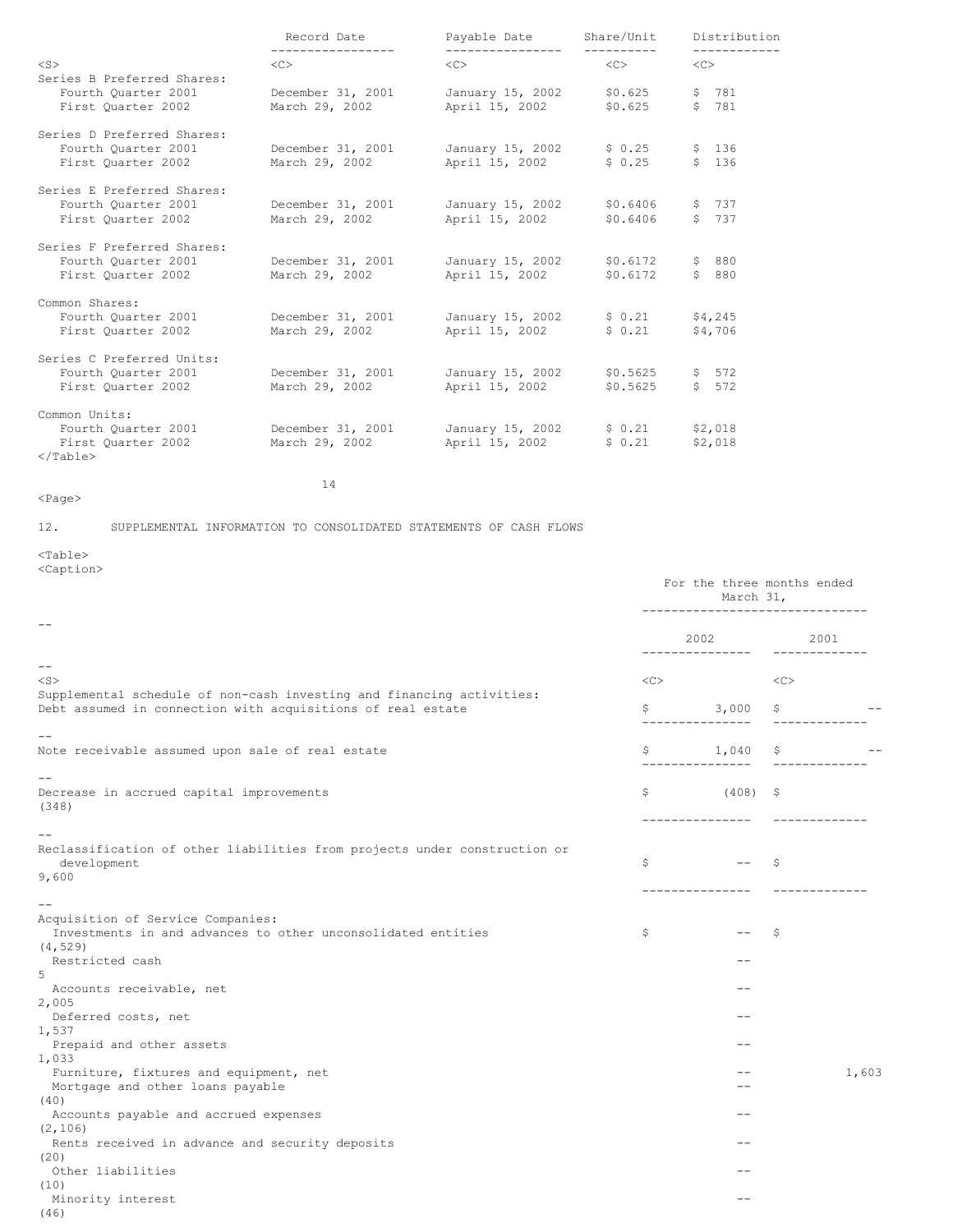|                                                                                          | Record Date<br>Payable Date         |                                    |                      | Distribution       |
|------------------------------------------------------------------------------------------|-------------------------------------|------------------------------------|----------------------|--------------------|
| $<$ S $>$                                                                                | <<                                  | $<<$ $>>$                          | <<>                  | <<                 |
| Series B Preferred Shares:<br>Fourth Ouarter 2001<br>First Quarter 2002                  | December 31, 2001<br>March 29, 2002 | January 15, 2002<br>April 15, 2002 | \$0.625<br>\$0.625   | \$781<br>\$781     |
| Series D Preferred Shares:<br>Fourth Ouarter 2001<br>First Quarter 2002                  | December 31, 2001<br>March 29, 2002 | January 15, 2002<br>April 15, 2002 | \$0.25<br>\$0.25     | \$ 136<br>\$ 136   |
| Series E Preferred Shares:<br>Fourth Ouarter 2001<br>First Ouarter 2002                  | December 31, 2001<br>March 29, 2002 | January 15, 2002<br>April 15, 2002 | \$0.6406<br>\$0.6406 | \$737<br>\$737     |
| Series F Preferred Shares:<br>Fourth Ouarter 2001<br>First Ouarter 2002                  | December 31, 2001<br>March 29, 2002 | January 15, 2002<br>April 15, 2002 | \$0.6172<br>\$0.6172 | \$ 880<br>\$880    |
| Common Shares:<br>Fourth Ouarter 2001<br>First Quarter 2002                              | December 31, 2001<br>March 29, 2002 | January 15, 2002<br>April 15, 2002 | \$0.21<br>\$0.21     | \$4,245<br>\$4,706 |
| Series C Preferred Units:<br>Fourth Quarter 2001<br>First Quarter 2002                   | December 31, 2001<br>March 29, 2002 | January 15, 2002<br>April 15, 2002 | \$0.5625<br>\$0.5625 | \$572<br>\$512     |
| Common Units:<br>Fourth Ouarter 2001<br>First Ouarter 2002<br>$\langle$ /Table $\rangle$ | December 31, 2001<br>March 29, 2002 | January 15, 2002<br>April 15, 2002 | \$0.21<br>\$0.21     | \$2,018<br>\$2,018 |
|                                                                                          | 14                                  |                                    |                      |                    |

12. SUPPLEMENTAL INFORMATION TO CONSOLIDATED STATEMENTS OF CASH FLOWS

# <Page>

<Table>

<Caption>

| Nuperone                                                                                                                             | -------------      | For the three months ended<br>March 31, |                       |       |
|--------------------------------------------------------------------------------------------------------------------------------------|--------------------|-----------------------------------------|-----------------------|-------|
| $ -$                                                                                                                                 |                    | 2002 2003<br>---------------            | 2001<br>------------- |       |
| $- -$                                                                                                                                |                    |                                         |                       |       |
| $<$ S $>$                                                                                                                            | <<                 |                                         | <<                    |       |
| Supplemental schedule of non-cash investing and financing activities:<br>Debt assumed in connection with acquisitions of real estate | \$                 | 3,000<br>-----------                    | \$                    |       |
|                                                                                                                                      |                    |                                         |                       |       |
| Note receivable assumed upon sale of real estate                                                                                     | \$<br>___________. | $1,040$ \$                              |                       |       |
|                                                                                                                                      |                    |                                         |                       |       |
| Decrease in accrued capital improvements<br>(348)                                                                                    | S.                 | $(408)$ \$                              |                       |       |
|                                                                                                                                      |                    | ---------------                         | -------------         |       |
| Reclassification of other liabilities from projects under construction or<br>development                                             | \$                 | $- -$                                   | -\$                   |       |
| 9,600                                                                                                                                |                    | ---------------                         |                       |       |
|                                                                                                                                      |                    |                                         |                       |       |
| Acquisition of Service Companies:<br>Investments in and advances to other unconsolidated entities                                    | \$                 | $\qquad \qquad -$                       | S                     |       |
| (4, 529)                                                                                                                             |                    |                                         |                       |       |
| Restricted cash<br>5                                                                                                                 |                    | --                                      |                       |       |
| Accounts receivable, net<br>2,005                                                                                                    |                    |                                         |                       |       |
| Deferred costs, net<br>1,537                                                                                                         |                    | --                                      |                       |       |
| Prepaid and other assets                                                                                                             |                    | --                                      |                       |       |
| 1,033<br>Furniture, fixtures and equipment, net<br>Mortgage and other loans payable                                                  |                    | --                                      |                       | 1,603 |
| (40)                                                                                                                                 |                    |                                         |                       |       |
| Accounts payable and accrued expenses                                                                                                |                    |                                         |                       |       |
| (2, 106)                                                                                                                             |                    | --                                      |                       |       |
| Rents received in advance and security deposits<br>(20)                                                                              |                    |                                         |                       |       |
| Other liabilities                                                                                                                    |                    |                                         |                       |       |
| (10)<br>Minority interest<br>(46)                                                                                                    |                    |                                         |                       |       |
|                                                                                                                                      |                    |                                         |                       |       |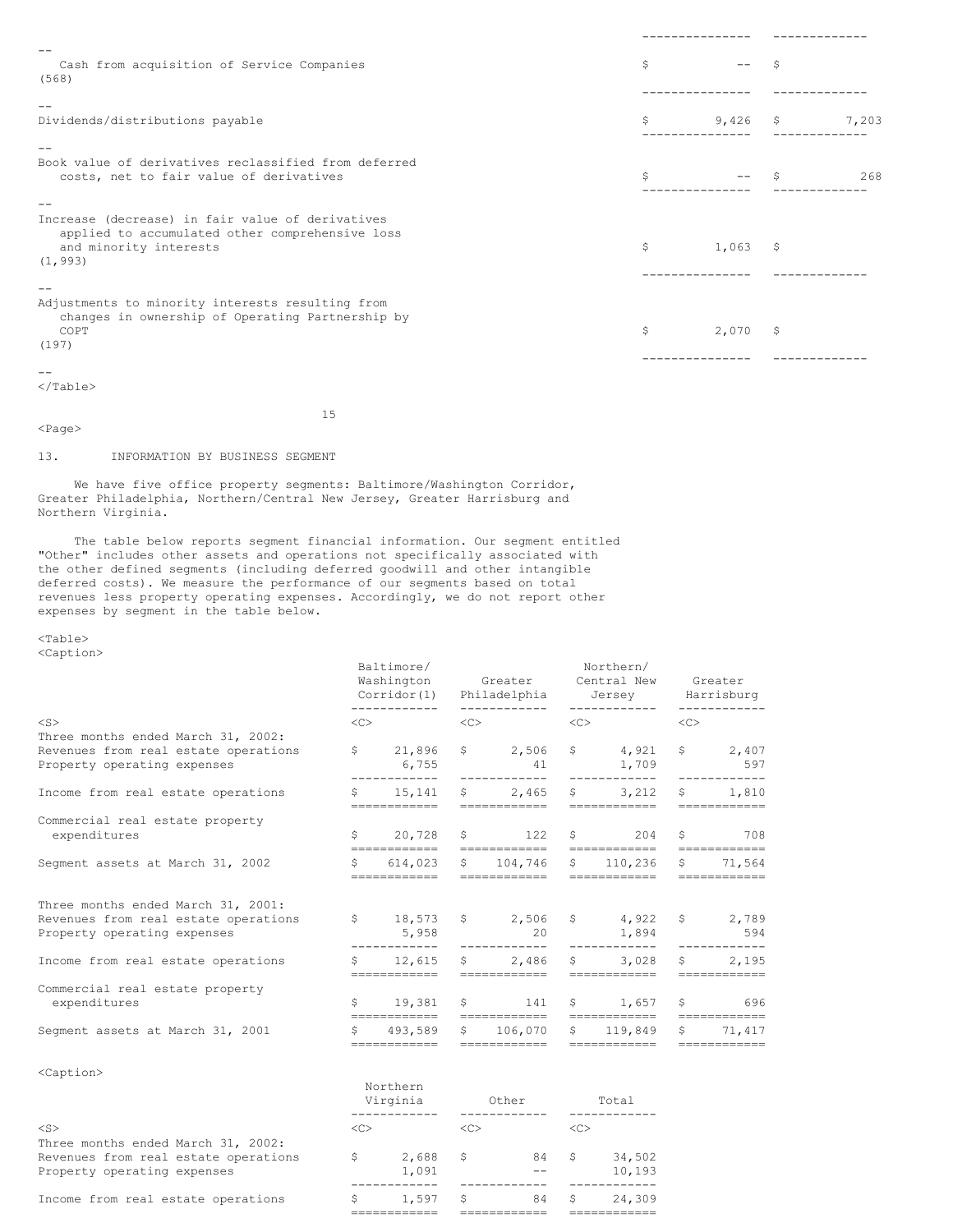| Cash from acquisition of Service Companies<br>(568)                                                                                       | S  |       |            |       |  |
|-------------------------------------------------------------------------------------------------------------------------------------------|----|-------|------------|-------|--|
| Dividends/distributions payable                                                                                                           | \$ |       | $9,426$ \$ | 7,203 |  |
| Book value of derivatives reclassified from deferred<br>costs, net to fair value of derivatives                                           | \$ |       |            | 268   |  |
| Increase (decrease) in fair value of derivatives<br>applied to accumulated other comprehensive loss<br>and minority interests<br>(1, 993) | \$ | 1,063 | -Ŝ         |       |  |
| Adjustments to minority interests resulting from<br>changes in ownership of Operating Partnership by<br>COPT<br>(197)                     | \$ | 2,070 | -Ŝ         |       |  |

<Page>

15

# 13. INFORMATION BY BUSINESS SEGMENT

We have five office property segments: Baltimore/Washington Corridor, Greater Philadelphia, Northern/Central New Jersey, Greater Harrisburg and Northern Virginia.

The table below reports segment financial information. Our segment entitled "Other" includes other assets and operations not specifically associated with the other defined segments (including deferred goodwill and other intangible deferred costs). We measure the performance of our segments based on total revenues less property operating expenses. Accordingly, we do not report other expenses by segment in the table below.

# <Table> <Caption>

|                                                                                                                        | Baltimore/<br>Washington<br>------------ |                                         | Corridor(1) Philadelphia Jersey Harrisburg<br>____________ |                                                                                                        | Northern/<br>Greater Central New<br>------------ |                                    | Greater   |                                                                                                                                                                                                                                                                                                                                                                                                                                                                                                   |
|------------------------------------------------------------------------------------------------------------------------|------------------------------------------|-----------------------------------------|------------------------------------------------------------|--------------------------------------------------------------------------------------------------------|--------------------------------------------------|------------------------------------|-----------|---------------------------------------------------------------------------------------------------------------------------------------------------------------------------------------------------------------------------------------------------------------------------------------------------------------------------------------------------------------------------------------------------------------------------------------------------------------------------------------------------|
| $<$ S $>$                                                                                                              |                                          | $\langle$ C> $\rangle$                  | $\langle C \rangle$                                        |                                                                                                        |                                                  | $\langle C \rangle$                | $<\infty$ |                                                                                                                                                                                                                                                                                                                                                                                                                                                                                                   |
| Three months ended March 31, 2002:<br>Revenues from real estate operations<br>Property operating expenses              |                                          | \$21,896<br>6,755<br>____________       |                                                            | $$2,506$ \$ 4,921<br>41 1,709<br>____________                                                          |                                                  | ____________                       |           | \$2,407<br>597                                                                                                                                                                                                                                                                                                                                                                                                                                                                                    |
| Income from real estate operations                                                                                     |                                          | ============                            |                                                            | $\frac{15}{141}$ \$ 2,465 \$ 3,212<br>============                                                     |                                                  | ============                       |           | ------------<br>\$1,810<br>============                                                                                                                                                                                                                                                                                                                                                                                                                                                           |
| Commercial real estate property<br>expenditures                                                                        |                                          |                                         |                                                            | $\frac{1}{20}$ , 728 $\frac{1}{22}$ $\frac{1}{20}$ $\frac{1}{204}$                                     |                                                  |                                    |           | \$708<br>============                                                                                                                                                                                                                                                                                                                                                                                                                                                                             |
| Segment assets at March 31, 2002                                                                                       |                                          | \$614.023<br>============               |                                                            | $$104,746$ \$ 110,236<br>============                                                                  |                                                  | ============                       |           | \$71,564<br>============                                                                                                                                                                                                                                                                                                                                                                                                                                                                          |
| Three months ended March 31, 2001:<br>Revenues from real estate operations<br>Property operating expenses              |                                          | \$18,573<br>5,958<br>------------       |                                                            | $\begin{array}{cccc} \xi & 2,506 & \xi & 4,922 \end{array}$<br>20                                      |                                                  | 1,894                              |           | \$ 2,789<br>594                                                                                                                                                                                                                                                                                                                                                                                                                                                                                   |
| Income from real estate operations                                                                                     |                                          | ============                            |                                                            | $$12,615$ \$ 2,486 \$ 3,028                                                                            |                                                  |                                    |           | \$2,195<br>$\begin{array}{cccccccccc} \multicolumn{2}{c}{} & \multicolumn{2}{c}{} & \multicolumn{2}{c}{} & \multicolumn{2}{c}{} & \multicolumn{2}{c}{} & \multicolumn{2}{c}{} & \multicolumn{2}{c}{} & \multicolumn{2}{c}{} & \multicolumn{2}{c}{} & \multicolumn{2}{c}{} & \multicolumn{2}{c}{} & \multicolumn{2}{c}{} & \multicolumn{2}{c}{} & \multicolumn{2}{c}{} & \multicolumn{2}{c}{} & \multicolumn{2}{c}{} & \multicolumn{2}{c}{} & \multicolumn{2}{c}{} & \multicolumn{2}{c}{} & \mult$ |
| Commercial real estate property<br>expenditures                                                                        |                                          | \$19,381                                |                                                            | $$141 \t$1.657$                                                                                        |                                                  |                                    |           | $\sqrt{5}$ 696                                                                                                                                                                                                                                                                                                                                                                                                                                                                                    |
| Segment assets at March 31, 2001                                                                                       |                                          | \$493,589<br>------------               | S.                                                         | 106,070<br>============                                                                                | S.                                               | 119,849<br>============            | \$        | 71,417<br>============                                                                                                                                                                                                                                                                                                                                                                                                                                                                            |
| <caption></caption>                                                                                                    |                                          | Northern                                |                                                            | Virginia Other                                                                                         |                                                  | Total                              |           |                                                                                                                                                                                                                                                                                                                                                                                                                                                                                                   |
| $<$ S $>$<br>Three months ended March 31, 2002:<br>Revenues from real estate operations<br>Property operating expenses |                                          | $\langle C \rangle$<br>\$2,688<br>1,091 |                                                            | $\langle C \rangle$<br>$\sqrt{5}$ 84<br>$\mathcal{A}=\mathcal{A}$ . The $\mathcal{A}$<br>------------- | $<<$ C $>$                                       | \$34,502<br>10,193<br>____________ |           |                                                                                                                                                                                                                                                                                                                                                                                                                                                                                                   |

Income from real estate operations  $\qquad \qquad$  \$ 1,597 \$ 84 \$ 24,309

============ ============ ============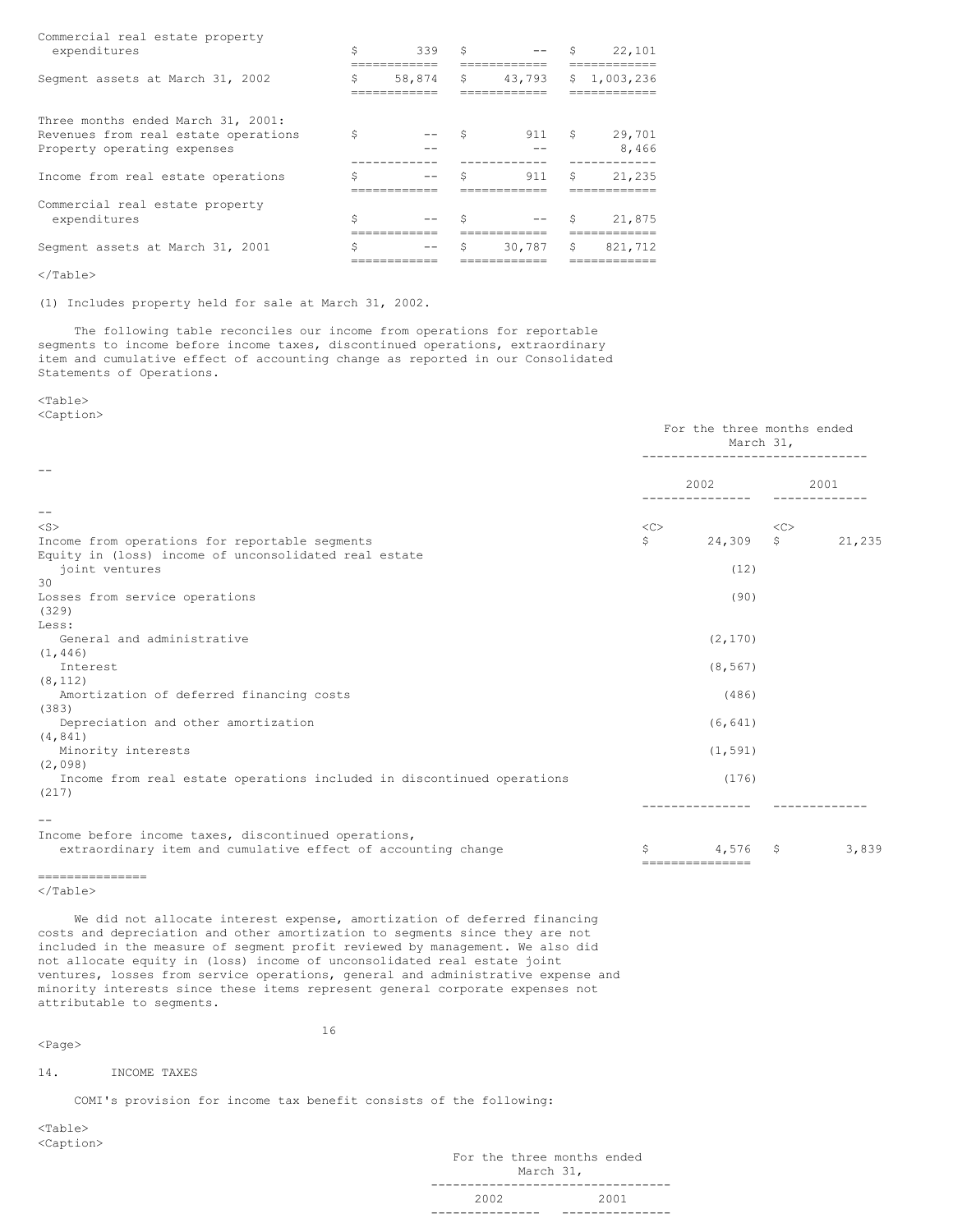| Commercial real estate property<br>expenditures                                                           | \$ | 339    | Ŝ  | $- -$  | Ŝ  | 22,101          |
|-----------------------------------------------------------------------------------------------------------|----|--------|----|--------|----|-----------------|
| Segment assets at March 31, 2002                                                                          | \$ | 58,874 | \$ | 43,793 |    | \$1,003,236     |
| Three months ended March 31, 2001:<br>Revenues from real estate operations<br>Property operating expenses | Ŝ  |        |    | 911    | S. | 29,701<br>8,466 |
| Income from real estate operations                                                                        | \$ |        |    | 911    | \$ | 21,235          |
| Commercial real estate property<br>expenditures                                                           | Ś  |        |    | $- -$  | Ŝ  | 21,875          |
| Segment assets at March 31, 2001                                                                          | Ś  |        | Ŝ  | 30,787 | \$ | 821,712         |

(1) Includes property held for sale at March 31, 2002.

The following table reconciles our income from operations for reportable segments to income before income taxes, discontinued operations, extraordinary item and cumulative effect of accounting change as reported in our Consolidated Statements of Operations.

<Table>

<Caption>

|                                                                        |                  | For the three months ended<br>March 31, |              |        |  |  |  |
|------------------------------------------------------------------------|------------------|-----------------------------------------|--------------|--------|--|--|--|
| --                                                                     |                  | 2002                                    |              | 2001   |  |  |  |
| $- -$                                                                  |                  |                                         |              |        |  |  |  |
| $<$ S $>$                                                              | $<<$ $<$ $<$ $>$ |                                         | <<           |        |  |  |  |
| Income from operations for reportable segments                         | \$               | 24,309                                  | $\mathsf{S}$ | 21,235 |  |  |  |
| Equity in (loss) income of unconsolidated real estate                  |                  |                                         |              |        |  |  |  |
| joint ventures                                                         |                  | (12)                                    |              |        |  |  |  |
| 30                                                                     |                  |                                         |              |        |  |  |  |
| Losses from service operations                                         |                  | (90)                                    |              |        |  |  |  |
| (329)                                                                  |                  |                                         |              |        |  |  |  |
| Less:                                                                  |                  |                                         |              |        |  |  |  |
| General and administrative                                             |                  | (2, 170)                                |              |        |  |  |  |
| (1, 446)<br>Interest                                                   |                  |                                         |              |        |  |  |  |
| (8, 112)                                                               |                  | (8, 567)                                |              |        |  |  |  |
| Amortization of deferred financing costs                               |                  | (486)                                   |              |        |  |  |  |
| (383)                                                                  |                  |                                         |              |        |  |  |  |
| Depreciation and other amortization                                    |                  | (6, 641)                                |              |        |  |  |  |
| (4, 841)                                                               |                  |                                         |              |        |  |  |  |
| Minority interests                                                     |                  | (1, 591)                                |              |        |  |  |  |
| (2,098)                                                                |                  |                                         |              |        |  |  |  |
| Income from real estate operations included in discontinued operations |                  | (176)                                   |              |        |  |  |  |
| (217)                                                                  |                  |                                         |              |        |  |  |  |
|                                                                        |                  |                                         |              |        |  |  |  |
|                                                                        |                  |                                         |              |        |  |  |  |
| Income before income taxes, discontinued operations,                   |                  |                                         |              |        |  |  |  |
| extraordinary item and cumulative effect of accounting change          | S                | 4,576                                   | \$           | 3,839  |  |  |  |
| ---------------                                                        |                  | ===============                         |              |        |  |  |  |

</Table>

We did not allocate interest expense, amortization of deferred financing costs and depreciation and other amortization to segments since they are not included in the measure of segment profit reviewed by management. We also did not allocate equity in (loss) income of unconsolidated real estate joint ventures, losses from service operations, general and administrative expense and minority interests since these items represent general corporate expenses not attributable to segments.

<Page>

16

### 14. INCOME TAXES

COMI's provision for income tax benefit consists of the following:

<Table> <Caption>

> For the three months ended March 31, --------------------------------- 2002 2001 --------------- ---------------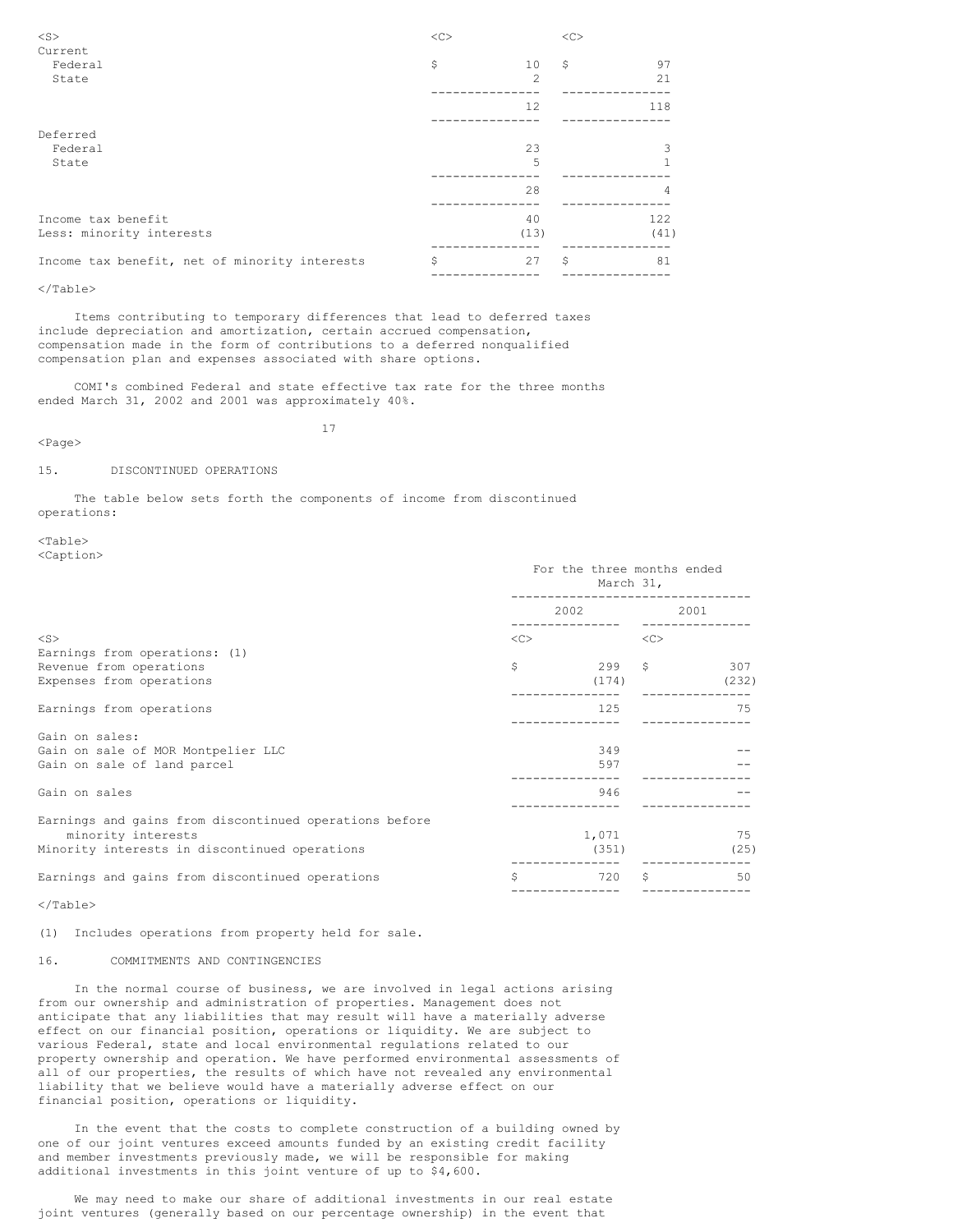| $<$ S $>$                                     | $<$ C $>$ |                                                                                                                                                               | << |      |
|-----------------------------------------------|-----------|---------------------------------------------------------------------------------------------------------------------------------------------------------------|----|------|
| Current                                       |           |                                                                                                                                                               |    |      |
| Federal                                       | \$        | 10                                                                                                                                                            | \$ | 97   |
| State                                         |           | $\mathfrak{D}_{1}^{2}(\mathfrak{D}_{1})=\mathfrak{D}_{2}^{2}(\mathfrak{D}_{2})=\mathfrak{D}_{2}^{2}(\mathfrak{D}_{1})=\mathfrak{D}_{2}^{2}(\mathfrak{D}_{2})$ |    | 21   |
|                                               |           | 12                                                                                                                                                            |    | 118  |
| Deferred                                      |           |                                                                                                                                                               |    |      |
| Federal                                       |           | 23                                                                                                                                                            |    |      |
| State                                         |           | 5                                                                                                                                                             |    |      |
|                                               |           | 28                                                                                                                                                            |    | 4    |
| Income tax benefit                            |           | 40                                                                                                                                                            |    | 122  |
| Less: minority interests                      |           | (13)                                                                                                                                                          |    | (41) |
| Income tax benefit, net of minority interests | \$        | 27                                                                                                                                                            | \$ | 81   |
|                                               |           |                                                                                                                                                               |    |      |

Items contributing to temporary differences that lead to deferred taxes include depreciation and amortization, certain accrued compensation, compensation made in the form of contributions to a deferred nonqualified compensation plan and expenses associated with share options.

COMI's combined Federal and state effective tax rate for the three months ended March 31, 2002 and 2001 was approximately 40%.

<Page>

17

### 15. DISCONTINUED OPERATIONS

The table below sets forth the components of income from discontinued operations:

<Table> <Caption>

| $\sim$ $\sim$ $\sim$ $\sim$ $\sim$ $\sim$ $\sim$ $\sim$ | For the three months ended<br>March 31, |           |      |       |  |  |
|---------------------------------------------------------|-----------------------------------------|-----------|------|-------|--|--|
|                                                         |                                         | 2002 2003 | 2001 |       |  |  |
| $<$ S>                                                  | <<                                      |           | <<   |       |  |  |
| Earnings from operations: (1)                           |                                         |           |      |       |  |  |
| Revenue from operations                                 | \$                                      | $299 - 5$ |      | 307   |  |  |
| Expenses from operations                                |                                         | (174)     |      | (232) |  |  |
| Earnings from operations                                |                                         | 125       |      | - 75  |  |  |
| Gain on sales:                                          |                                         |           |      |       |  |  |
| Gain on sale of MOR Montpelier LLC                      |                                         | 349       |      |       |  |  |
| Gain on sale of land parcel                             |                                         | 597       |      |       |  |  |
| Gain on sales                                           |                                         | 946       |      |       |  |  |
| Earnings and gains from discontinued operations before  |                                         |           |      |       |  |  |
| minority interests                                      |                                         | 1,071     |      | 75    |  |  |
| Minority interests in discontinued operations           |                                         | (351)     |      | (25)  |  |  |
| Earnings and gains from discontinued operations         | Ŝ                                       | 720       | Ŝ    | 50    |  |  |
|                                                         |                                         |           |      |       |  |  |

</Table>

(1) Includes operations from property held for sale.

# 16. COMMITMENTS AND CONTINGENCIES

In the normal course of business, we are involved in legal actions arising from our ownership and administration of properties. Management does not anticipate that any liabilities that may result will have a materially adverse effect on our financial position, operations or liquidity. We are subject to various Federal, state and local environmental regulations related to our property ownership and operation. We have performed environmental assessments of all of our properties, the results of which have not revealed any environmental liability that we believe would have a materially adverse effect on our financial position, operations or liquidity.

In the event that the costs to complete construction of a building owned by one of our joint ventures exceed amounts funded by an existing credit facility and member investments previously made, we will be responsible for making additional investments in this joint venture of up to \$4,600.

We may need to make our share of additional investments in our real estate joint ventures (generally based on our percentage ownership) in the event that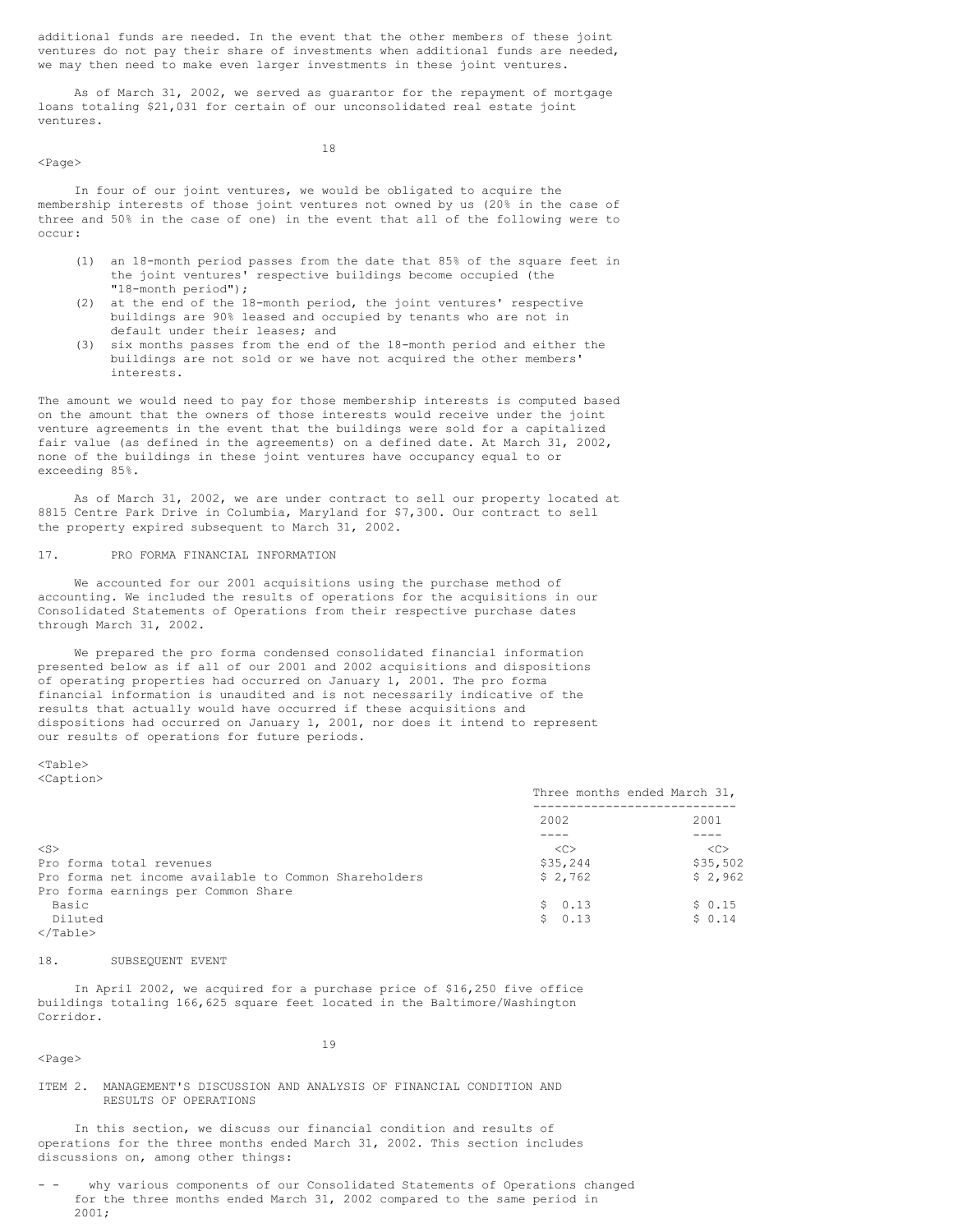additional funds are needed. In the event that the other members of these joint ventures do not pay their share of investments when additional funds are needed, we may then need to make even larger investments in these joint ventures.

As of March 31, 2002, we served as guarantor for the repayment of mortgage loans totaling \$21,031 for certain of our unconsolidated real estate joint ventures.

<Page>

18

In four of our joint ventures, we would be obligated to acquire the membership interests of those joint ventures not owned by us (20% in the case of three and 50% in the case of one) in the event that all of the following were to occur:

- (1) an 18-month period passes from the date that 85% of the square feet in the joint ventures' respective buildings become occupied (the "18-month period");
- (2) at the end of the 18-month period, the joint ventures' respective buildings are 90% leased and occupied by tenants who are not in default under their leases; and
- (3) six months passes from the end of the 18-month period and either the buildings are not sold or we have not acquired the other members' interests.

The amount we would need to pay for those membership interests is computed based on the amount that the owners of those interests would receive under the joint venture agreements in the event that the buildings were sold for a capitalized fair value (as defined in the agreements) on a defined date. At March 31, 2002, none of the buildings in these joint ventures have occupancy equal to or exceeding 85%.

As of March 31, 2002, we are under contract to sell our property located at 8815 Centre Park Drive in Columbia, Maryland for \$7,300. Our contract to sell the property expired subsequent to March 31, 2002.

# 17. PRO FORMA FINANCIAL INFORMATION

We accounted for our 2001 acquisitions using the purchase method of accounting. We included the results of operations for the acquisitions in our Consolidated Statements of Operations from their respective purchase dates through March 31, 2002.

We prepared the pro forma condensed consolidated financial information presented below as if all of our 2001 and 2002 acquisitions and dispositions of operating properties had occurred on January 1, 2001. The pro forma financial information is unaudited and is not necessarily indicative of the results that actually would have occurred if these acquisitions and dispositions had occurred on January 1, 2001, nor does it intend to represent our results of operations for future periods.

<Table> <Caption>

|                                                       | Three months ended March 31, |               |
|-------------------------------------------------------|------------------------------|---------------|
|                                                       | 2002                         | 2001          |
|                                                       |                              |               |
| $<$ S>                                                | < <sub></sub>                | < <sub></sub> |
| Pro forma total revenues                              | \$35,244                     | \$35,502      |
| Pro forma net income available to Common Shareholders | \$2,762                      | \$2,962       |
| Pro forma earnings per Common Share                   |                              |               |
| Basic                                                 | \$0.13                       | \$0.15        |
| Diluted                                               | \$0.13                       | \$0.14        |
|                                                       |                              |               |

  |  |### 18. SUBSEQUENT EVENT

In April 2002, we acquired for a purchase price of \$16,250 five office buildings totaling 166,625 square feet located in the Baltimore/Washington Corridor.

<Page>

19

### ITEM 2. MANAGEMENT'S DISCUSSION AND ANALYSIS OF FINANCIAL CONDITION AND RESULTS OF OPERATIONS

In this section, we discuss our financial condition and results of operations for the three months ended March 31, 2002. This section includes discussions on, among other things:

why various components of our Consolidated Statements of Operations changed for the three months ended March 31, 2002 compared to the same period in 2001;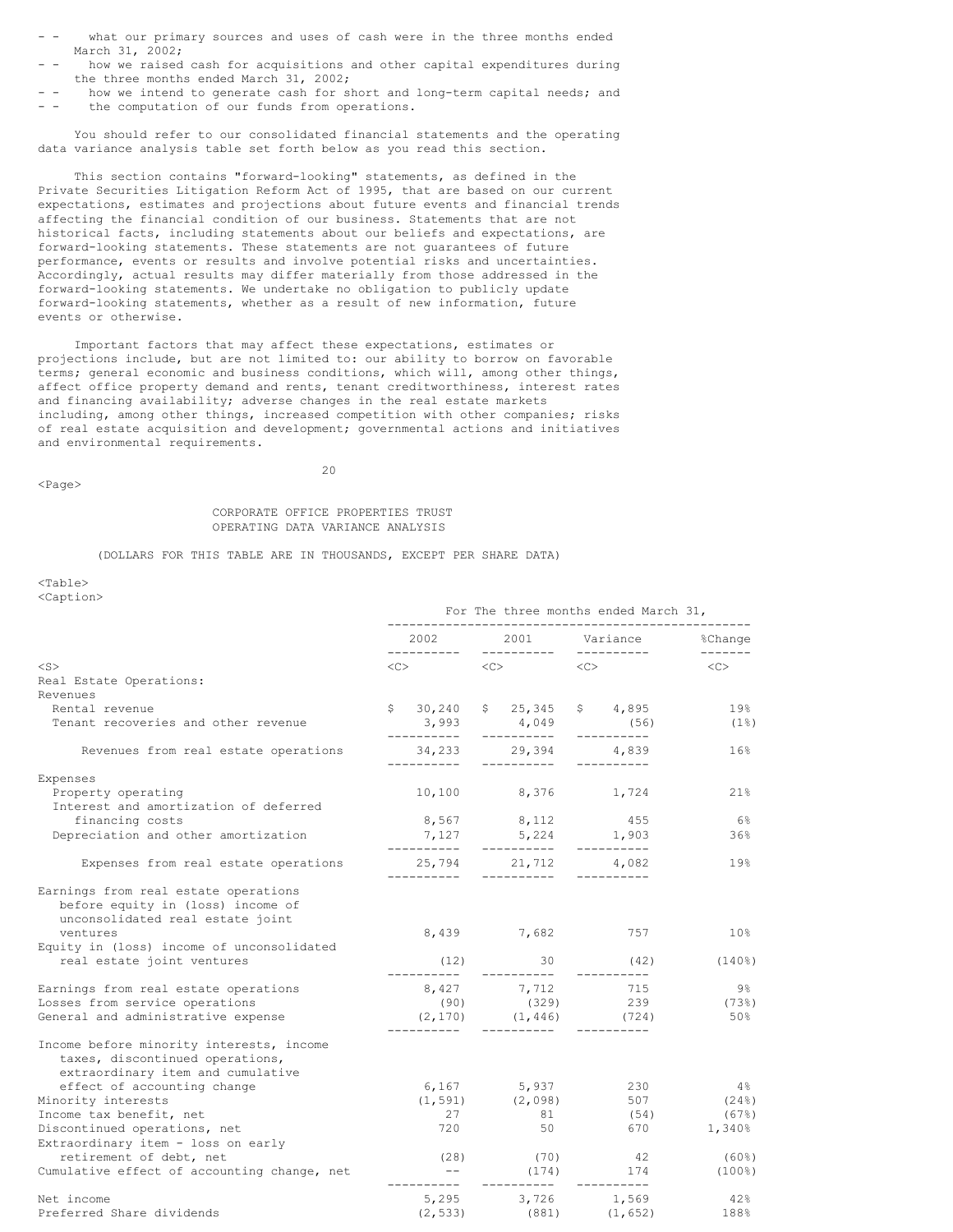- what our primary sources and uses of cash were in the three months ended March 31, 2002;
- how we raised cash for acquisitions and other capital expenditures during the three months ended March 31, 2002;
- - how we intend to generate cash for short and long-term capital needs; and the computation of our funds from operations.
- 

You should refer to our consolidated financial statements and the operating data variance analysis table set forth below as you read this section.

This section contains "forward-looking" statements, as defined in the Private Securities Litigation Reform Act of 1995, that are based on our current expectations, estimates and projections about future events and financial trends affecting the financial condition of our business. Statements that are not historical facts, including statements about our beliefs and expectations, are forward-looking statements. These statements are not guarantees of future performance, events or results and involve potential risks and uncertainties. Accordingly, actual results may differ materially from those addressed in the forward-looking statements. We undertake no obligation to publicly update forward-looking statements, whether as a result of new information, future events or otherwise.

Important factors that may affect these expectations, estimates or projections include, but are not limited to: our ability to borrow on favorable terms; general economic and business conditions, which will, among other things, affect office property demand and rents, tenant creditworthiness, interest rates and financing availability; adverse changes in the real estate markets including, among other things, increased competition with other companies; risks of real estate acquisition and development; governmental actions and initiatives and environmental requirements.

<Page>

 $20$ 

# CORPORATE OFFICE PROPERTIES TRUST OPERATING DATA VARIANCE ANALYSIS

(DOLLARS FOR THIS TABLE ARE IN THOUSANDS, EXCEPT PER SHARE DATA)

<Table> <Caption>

|                                                                                                                           | For The three months ended March 31, |                                                                                                                                                                                                                                 |  |                                                        |  |                           |                 |
|---------------------------------------------------------------------------------------------------------------------------|--------------------------------------|---------------------------------------------------------------------------------------------------------------------------------------------------------------------------------------------------------------------------------|--|--------------------------------------------------------|--|---------------------------|-----------------|
|                                                                                                                           |                                      | 2002 — 2002 — 2003 — 2004 — 2005 — 2006 — 2006 — 2006 — 2006 — 2006 — 2006 — 2006 — 2006 — 2006 — 2006 — 2006 — 2006 — 2006 — 2006 — 2006 — 2006 — 2006 — 2006 — 2006 — 2006 — 2006 — 2006 — 2006 — 2006 — 2006 — 2006 — 2006 — |  |                                                        |  |                           |                 |
| $<$ S $>$                                                                                                                 |                                      | $\langle C \rangle$ $\langle C \rangle$ $\langle C \rangle$                                                                                                                                                                     |  |                                                        |  |                           | < <c></c>       |
| Real Estate Operations:                                                                                                   |                                      |                                                                                                                                                                                                                                 |  |                                                        |  |                           |                 |
| Revenues                                                                                                                  |                                      |                                                                                                                                                                                                                                 |  |                                                        |  |                           |                 |
| Rental revenue                                                                                                            |                                      | \$30, 240                                                                                                                                                                                                                       |  | \$25,345                                               |  | \$4,895                   | 19%             |
| Tenant recoveries and other revenue                                                                                       |                                      | 3,993<br>__________                                                                                                                                                                                                             |  | $4,049$ (56)<br>-----------                            |  | -----------               | (1응)            |
| Revenues from real estate operations                                                                                      |                                      | 34,233<br>-----------                                                                                                                                                                                                           |  | 29,394<br>-----------                                  |  | 4,839<br>-----------      | 16%             |
| Expenses                                                                                                                  |                                      |                                                                                                                                                                                                                                 |  |                                                        |  |                           |                 |
| Property operating                                                                                                        |                                      |                                                                                                                                                                                                                                 |  | 10,100 8,376 1,724                                     |  |                           | 21%             |
| Interest and amortization of deferred                                                                                     |                                      |                                                                                                                                                                                                                                 |  |                                                        |  |                           |                 |
| financing costs                                                                                                           |                                      |                                                                                                                                                                                                                                 |  | 8,567 8,112                                            |  | 455                       | - 6%            |
| Depreciation and other amortization                                                                                       |                                      | ----------                                                                                                                                                                                                                      |  | $7,127$ $5,224$ $1,903$<br>------- --------- --------- |  |                           | 36%             |
| Expenses from real estate operations                                                                                      |                                      |                                                                                                                                                                                                                                 |  | 25,794 21,712 4,082<br>------------                    |  | -----------               | 19%             |
| Earnings from real estate operations<br>before equity in (loss) income of<br>unconsolidated real estate joint<br>ventures |                                      |                                                                                                                                                                                                                                 |  | 8,439 7,682                                            |  | 757                       | 10 <sup>°</sup> |
| Equity in (loss) income of unconsolidated                                                                                 |                                      |                                                                                                                                                                                                                                 |  |                                                        |  |                           |                 |
| real estate joint ventures                                                                                                |                                      | (12)<br>-----------                                                                                                                                                                                                             |  | 30<br>__________                                       |  | (42)<br>-----------       | $(140\%)$       |
| Earnings from real estate operations                                                                                      |                                      |                                                                                                                                                                                                                                 |  | 8,427 7,712 715                                        |  |                           | - 9월            |
| Losses from service operations                                                                                            |                                      |                                                                                                                                                                                                                                 |  | $(90)$ $(329)$ 239                                     |  |                           | $(73$ 8)        |
| General and administrative expense                                                                                        |                                      | -----------                                                                                                                                                                                                                     |  | $(2, 170)$ $(1, 446)$ $(724)$<br>-----------           |  |                           | 50%             |
| Income before minority interests, income<br>taxes, discontinued operations,<br>extraordinary item and cumulative          |                                      |                                                                                                                                                                                                                                 |  |                                                        |  |                           |                 |
| effect of accounting change                                                                                               |                                      |                                                                                                                                                                                                                                 |  | 6,167 5,937                                            |  | 230                       | $4\,$ %         |
| Minority interests                                                                                                        |                                      |                                                                                                                                                                                                                                 |  |                                                        |  | $(1, 591)$ $(2, 098)$ 507 | $(24\%)$        |
| Income tax benefit, net                                                                                                   |                                      | 27                                                                                                                                                                                                                              |  | 81                                                     |  | (54)                      | $(67\%)$        |
| Discontinued operations, net                                                                                              |                                      | 720                                                                                                                                                                                                                             |  | 50                                                     |  | 670                       | 1,340%          |
| Extraordinary item - loss on early                                                                                        |                                      |                                                                                                                                                                                                                                 |  |                                                        |  |                           |                 |
| retirement of debt, net                                                                                                   |                                      |                                                                                                                                                                                                                                 |  | $(28)$ $(70)$ $42$                                     |  |                           | (60%)           |
| Cumulative effect of accounting change, net                                                                               |                                      | $---$<br>------                                                                                                                                                                                                                 |  | (174)                                                  |  | 174<br>----------         | $(100\%)$       |
| Net income                                                                                                                |                                      |                                                                                                                                                                                                                                 |  | 5,295 3,726 1,569                                      |  |                           | 42%             |
| Preferred Share dividends                                                                                                 |                                      | (2, 533)                                                                                                                                                                                                                        |  | $(881)$ $(1, 652)$                                     |  |                           | 188%            |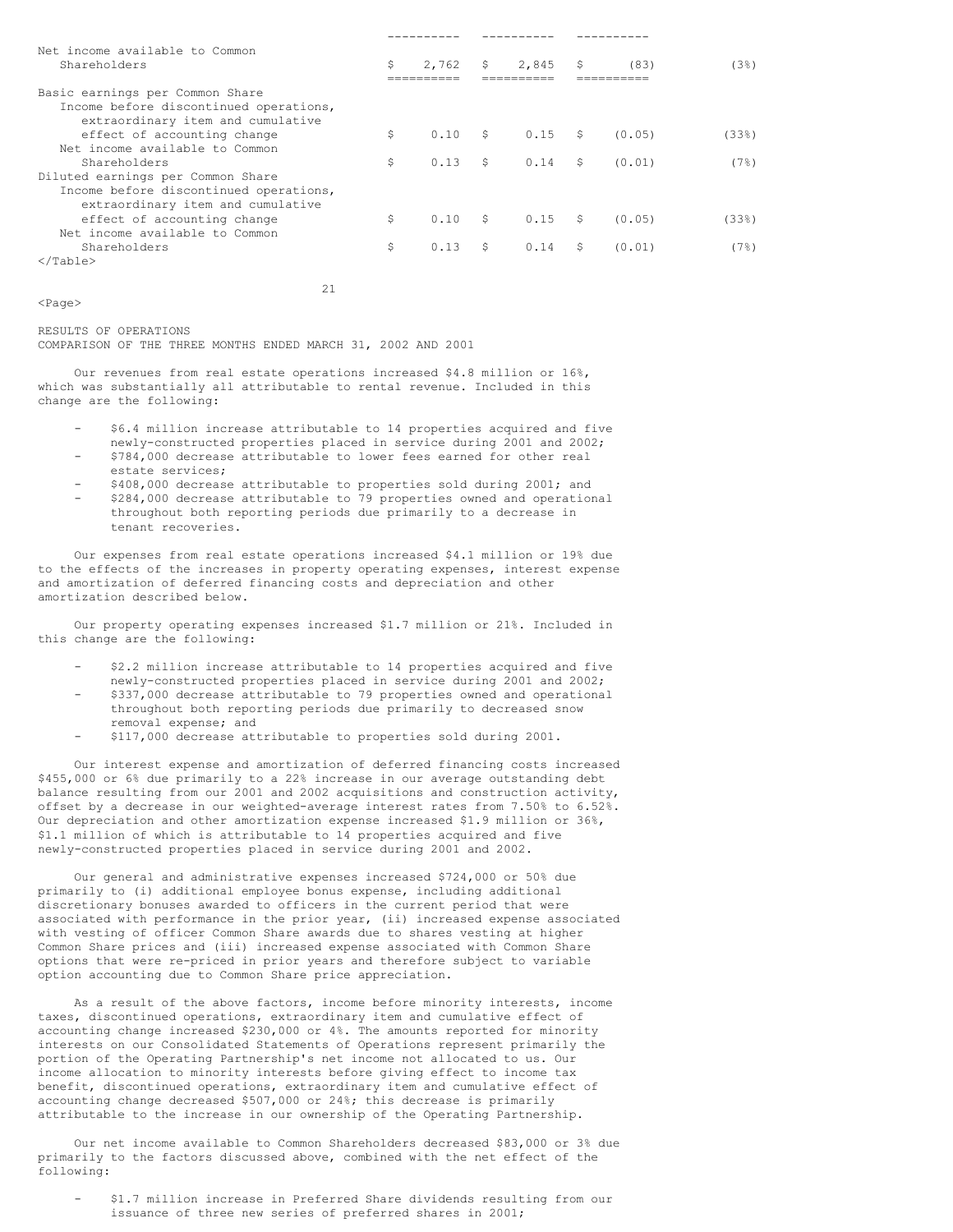| Net income available to Common<br>Shareholders                                                                 | Ŝ  | 2,762 | $S$ and $S$   | 2,845     | - S | (83)   | (38)     |
|----------------------------------------------------------------------------------------------------------------|----|-------|---------------|-----------|-----|--------|----------|
|                                                                                                                |    |       |               |           |     |        |          |
| Basic earnings per Common Share<br>Income before discontinued operations,<br>extraordinary item and cumulative |    |       |               |           |     |        |          |
| effect of accounting change                                                                                    | \$ | 0.10  | $\mathsf{S}$  | $0.15$ \$ |     | (0.05) | $(33\%)$ |
| Net income available to Common                                                                                 |    |       |               |           |     |        |          |
| Shareholders                                                                                                   | \$ | 0.13  | $\mathcal{S}$ | $0.14$ \$ |     | (0.01) | (7%)     |
| Diluted earnings per Common Share                                                                              |    |       |               |           |     |        |          |
| Income before discontinued operations,                                                                         |    |       |               |           |     |        |          |
| extraordinary item and cumulative                                                                              |    |       |               |           |     |        |          |
| effect of accounting change                                                                                    | \$ | 0.10  | S             | $0.15$ \$ |     | (0.05) | (33)     |
| Net income available to Common                                                                                 |    |       |               |           |     |        |          |
| Shareholders                                                                                                   | \$ | 0.13  | - \$          | 0.14 S    |     | (0.01) | (7%)     |
| $\langle$ /Table>                                                                                              |    |       |               |           |     |        |          |

21

<Page>

RESULTS OF OPERATIONS COMPARISON OF THE THREE MONTHS ENDED MARCH 31, 2002 AND 2001

Our revenues from real estate operations increased \$4.8 million or 16%, which was substantially all attributable to rental revenue. Included in this change are the following:

- \$6.4 million increase attributable to 14 properties acquired and five newly-constructed properties placed in service during 2001 and 2002;
- \$784,000 decrease attributable to lower fees earned for other real estate services;
- \$408,000 decrease attributable to properties sold during 2001; and - \$284,000 decrease attributable to 79 properties owned and operational throughout both reporting periods due primarily to a decrease in tenant recoveries.

Our expenses from real estate operations increased \$4.1 million or 19% due to the effects of the increases in property operating expenses, interest expense and amortization of deferred financing costs and depreciation and other amortization described below.

Our property operating expenses increased \$1.7 million or 21%. Included in this change are the following:

- \$2.2 million increase attributable to 14 properties acquired and five newly-constructed properties placed in service during 2001 and 2002;
- \$337,000 decrease attributable to 79 properties owned and operational throughout both reporting periods due primarily to decreased snow removal expense; and
- \$117,000 decrease attributable to properties sold during 2001.

Our interest expense and amortization of deferred financing costs increased \$455,000 or 6% due primarily to a 22% increase in our average outstanding debt balance resulting from our 2001 and 2002 acquisitions and construction activity, offset by a decrease in our weighted-average interest rates from 7.50% to 6.52%. Our depreciation and other amortization expense increased \$1.9 million or 36%, \$1.1 million of which is attributable to 14 properties acquired and five newly-constructed properties placed in service during 2001 and 2002.

Our general and administrative expenses increased \$724,000 or 50% due primarily to (i) additional employee bonus expense, including additional discretionary bonuses awarded to officers in the current period that were associated with performance in the prior year, (ii) increased expense associated with vesting of officer Common Share awards due to shares vesting at higher Common Share prices and (iii) increased expense associated with Common Share options that were re-priced in prior years and therefore subject to variable option accounting due to Common Share price appreciation.

As a result of the above factors, income before minority interests, income taxes, discontinued operations, extraordinary item and cumulative effect of accounting change increased \$230,000 or 4%. The amounts reported for minority interests on our Consolidated Statements of Operations represent primarily the portion of the Operating Partnership's net income not allocated to us. Our income allocation to minority interests before giving effect to income tax benefit, discontinued operations, extraordinary item and cumulative effect of accounting change decreased \$507,000 or 24%; this decrease is primarily attributable to the increase in our ownership of the Operating Partnership.

Our net income available to Common Shareholders decreased \$83,000 or 3% due primarily to the factors discussed above, combined with the net effect of the following:

- \$1.7 million increase in Preferred Share dividends resulting from our issuance of three new series of preferred shares in 2001;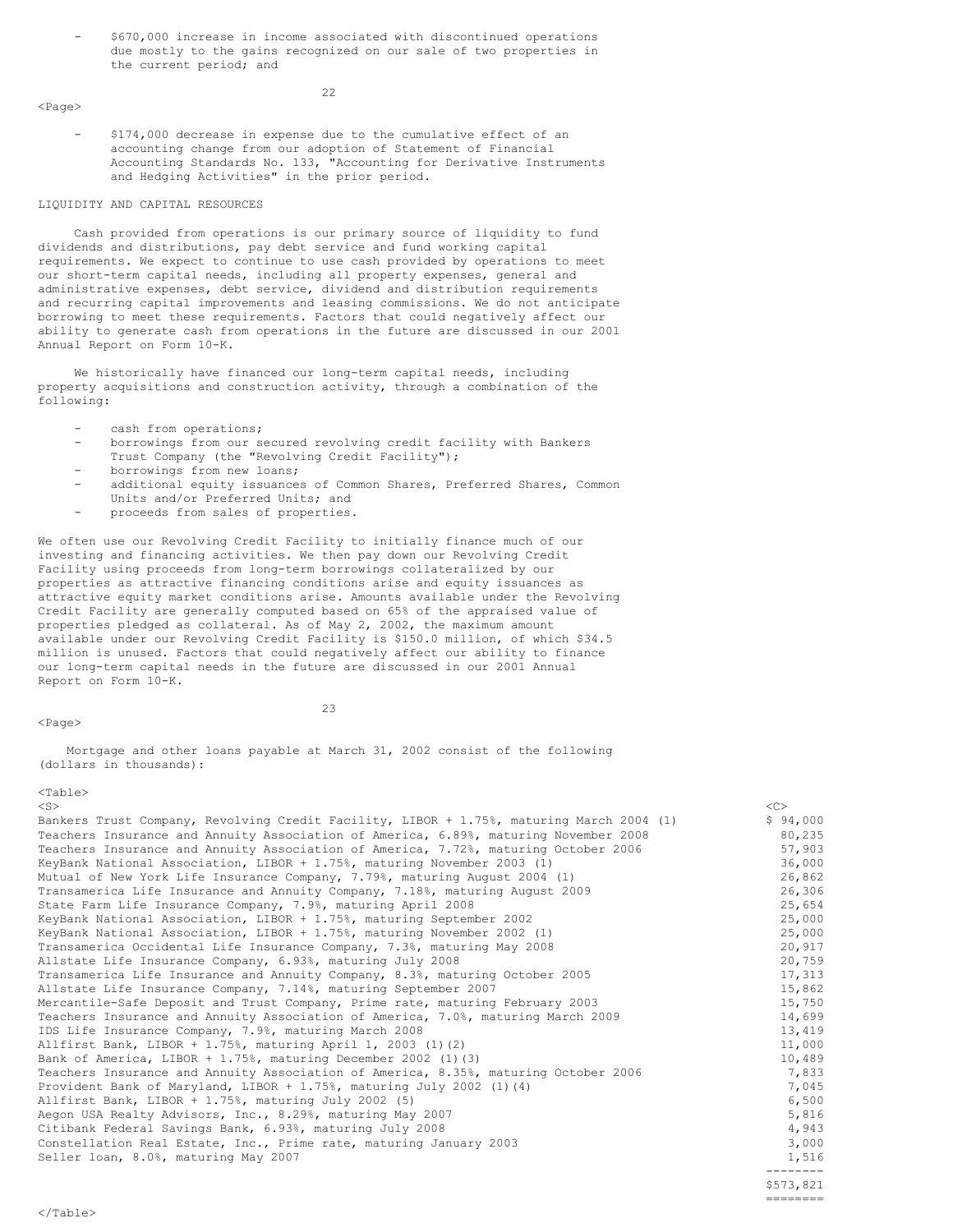- \$670,000 increase in income associated with discontinued operations due mostly to the gains recognized on our sale of two properties in the current period; and

<Page>

- \$174,000 decrease in expense due to the cumulative effect of an accounting change from our adoption of Statement of Financial Accounting Standards No. 133, "Accounting for Derivative Instruments and Hedging Activities" in the prior period.

### LIQUIDITY AND CAPITAL RESOURCES

Cash provided from operations is our primary source of liquidity to fund dividends and distributions, pay debt service and fund working capital requirements. We expect to continue to use cash provided by operations to meet our short-term capital needs, including all property expenses, general and administrative expenses, debt service, dividend and distribution requirements and recurring capital improvements and leasing commissions. We do not anticipate borrowing to meet these requirements. Factors that could negatively affect our ability to generate cash from operations in the future are discussed in our 2001 Annual Report on Form 10-K.

We historically have financed our long-term capital needs, including property acquisitions and construction activity, through a combination of the following:

- cash from operations;
- borrowings from our secured revolving credit facility with Bankers Trust Company (the "Revolving Credit Facility");
- borrowings from new loans;
- additional equity issuances of Common Shares, Preferred Shares, Common Units and/or Preferred Units; and
- proceeds from sales of properties.

We often use our Revolving Credit Facility to initially finance much of our investing and financing activities. We then pay down our Revolving Credit Facility using proceeds from long-term borrowings collateralized by our properties as attractive financing conditions arise and equity issuances as attractive equity market conditions arise. Amounts available under the Revolving Credit Facility are generally computed based on 65% of the appraised value of properties pledged as collateral. As of May 2, 2002, the maximum amount available under our Revolving Credit Facility is \$150.0 million, of which \$34.5 million is unused. Factors that could negatively affect our ability to finance our long-term capital needs in the future are discussed in our 2001 Annual Report on Form 10-K.

# <Page>

 $23$ 

Mortgage and other loans payable at March 31, 2002 consist of the following (dollars in thousands):

| $<$ S $>$                                                                                | < <sub></sub>    |
|------------------------------------------------------------------------------------------|------------------|
| Bankers Trust Company, Revolving Credit Facility, LIBOR + 1.75%, maturing March 2004 (1) | \$94,000         |
| Teachers Insurance and Annuity Association of America, 6.89%, maturing November 2008     | 80,235           |
| Teachers Insurance and Annuity Association of America, 7.72%, maturing October 2006      | 57,903           |
| KeyBank National Association, LIBOR + 1.75%, maturing November 2003 (1)                  | 36,000           |
| Mutual of New York Life Insurance Company, 7.79%, maturing August 2004 (1)               | 26,862           |
| Transamerica Life Insurance and Annuity Company, 7.18%, maturing August 2009             | 26,306           |
| State Farm Life Insurance Company, 7.9%, maturing April 2008                             | 25,654           |
| KeyBank National Association, LIBOR + 1.75%, maturing September 2002                     | 25,000           |
| KeyBank National Association, LIBOR + 1.75%, maturing November 2002 (1)                  | 25,000           |
| Transamerica Occidental Life Insurance Company, 7.3%, maturing May 2008                  | 20,917           |
| Allstate Life Insurance Company, 6.93%, maturing July 2008                               | 20,759           |
| Transamerica Life Insurance and Annuity Company, 8.3%, maturing October 2005             | 17,313           |
| Allstate Life Insurance Company, 7.14%, maturing September 2007                          | 15,862           |
| Mercantile-Safe Deposit and Trust Company, Prime rate, maturing February 2003            | 15,750           |
| Teachers Insurance and Annuity Association of America, 7.0%, maturing March 2009         | 14,699           |
| IDS Life Insurance Company, 7.9%, maturing March 2008                                    | 13,419           |
| Allfirst Bank, LIBOR + 1.75%, maturing April 1, 2003 (1)(2)                              | 11,000           |
| Bank of America, LIBOR + $1.75$ %, maturing December 2002 (1)(3)                         | 10,489           |
| Teachers Insurance and Annuity Association of America, 8.35%, maturing October 2006      | 7,833            |
| Provident Bank of Maryland, LIBOR + $1.75$ %, maturing July 2002 (1)(4)                  | 7,045            |
| Allfirst Bank, LIBOR + 1.75%, maturing July 2002 (5)                                     | 6,500            |
| Aegon USA Realty Advisors, Inc., 8.29%, maturing May 2007                                | 5,816            |
| Citibank Federal Savings Bank, 6.93%, maturing July 2008                                 | 4,943            |
| Constellation Real Estate, Inc., Prime rate, maturing January 2003                       | 3,000            |
| Seller loan, 8.0%, maturing May 2007                                                     | 1,516<br>------- |
|                                                                                          |                  |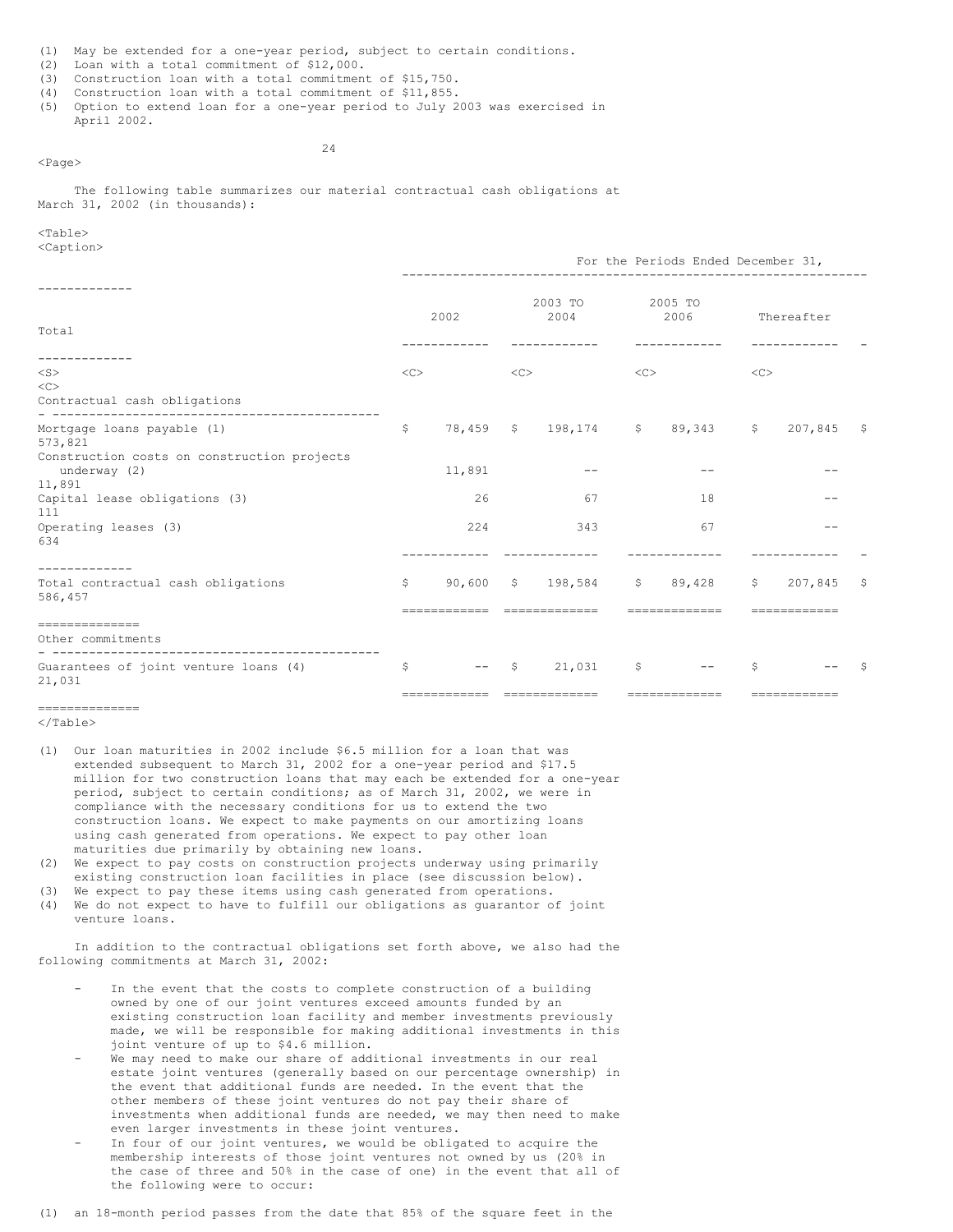(1) May be extended for a one-year period, subject to certain conditions.

- (2) Loan with a total commitment of \$12,000.
- (3) Construction loan with a total commitment of \$15,750.
- (4) Construction loan with a total commitment of \$11,855.
- (5) Option to extend loan for a one-year period to July 2003 was exercised in April 2002.

24

The following table summarizes our material contractual cash obligations at March 31, 2002 (in thousands):

# <Table>

<Page>

<Caption>

|                                                                       | For the Periods Ended December 31, |                                                 |    |                                               |    |                      |    |                         |    |  |  |
|-----------------------------------------------------------------------|------------------------------------|-------------------------------------------------|----|-----------------------------------------------|----|----------------------|----|-------------------------|----|--|--|
| Total                                                                 |                                    | 2002                                            |    | 2003 TO<br>2004                               |    | 2005 TO<br>2006      |    | Thereafter              |    |  |  |
| $<$ S $>$<br><<<br>Contractual cash obligations                       | <<                                 |                                                 | << |                                               | << |                      | << |                         |    |  |  |
| Mortgage loans payable (1)<br>573,821                                 | $\mathsf{S}$                       |                                                 |    | 78,459 \$ 198,174 \$                          |    | 89,343 \$ 207,845 \$ |    |                         |    |  |  |
| Construction costs on construction projects<br>underway (2)<br>11,891 |                                    | 11,891                                          |    |                                               |    |                      |    |                         |    |  |  |
| Capital lease obligations (3)<br>111                                  |                                    | 26                                              |    | 67                                            |    | 18                   |    |                         |    |  |  |
| Operating leases (3)<br>634                                           |                                    | 224                                             |    | 343                                           |    | 67                   |    |                         |    |  |  |
| -----------<br>Total contractual cash obligations<br>586,457          | S.                                 | ------------                                    |    | 90,600 \$ 198,584 \$ 89,428<br>============== |    | =============        | S  | 207,845<br>============ | -S |  |  |
| --------------<br>Other commitments                                   |                                    |                                                 |    |                                               |    |                      |    |                         |    |  |  |
| Guarantees of joint venture loans (4)<br>21,031                       | \$                                 | $\qquad \qquad -$<br>========================== |    | $$21,031$ \$                                  |    | =============        | \$ | ============            |    |  |  |

# $=$

</Table>

- (1) Our loan maturities in 2002 include \$6.5 million for a loan that was extended subsequent to March 31, 2002 for a one-year period and \$17.5 million for two construction loans that may each be extended for a one-year period, subject to certain conditions; as of March 31, 2002, we were in compliance with the necessary conditions for us to extend the two construction loans. We expect to make payments on our amortizing loans using cash generated from operations. We expect to pay other loan maturities due primarily by obtaining new loans.
- (2) We expect to pay costs on construction projects underway using primarily existing construction loan facilities in place (see discussion below).
- (3) We expect to pay these items using cash generated from operations. (4) We do not expect to have to fulfill our obligations as guarantor of joint
- venture loans.

In addition to the contractual obligations set forth above, we also had the following commitments at March 31, 2002:

- In the event that the costs to complete construction of a building owned by one of our joint ventures exceed amounts funded by an existing construction loan facility and member investments previously made, we will be responsible for making additional investments in this joint venture of up to \$4.6 million.
- We may need to make our share of additional investments in our real estate joint ventures (generally based on our percentage ownership) in the event that additional funds are needed. In the event that the other members of these joint ventures do not pay their share of investments when additional funds are needed, we may then need to make even larger investments in these joint ventures.
- In four of our joint ventures, we would be obligated to acquire the membership interests of those joint ventures not owned by us (20% in the case of three and 50% in the case of one) in the event that all of the following were to occur:

(1) an 18-month period passes from the date that 85% of the square feet in the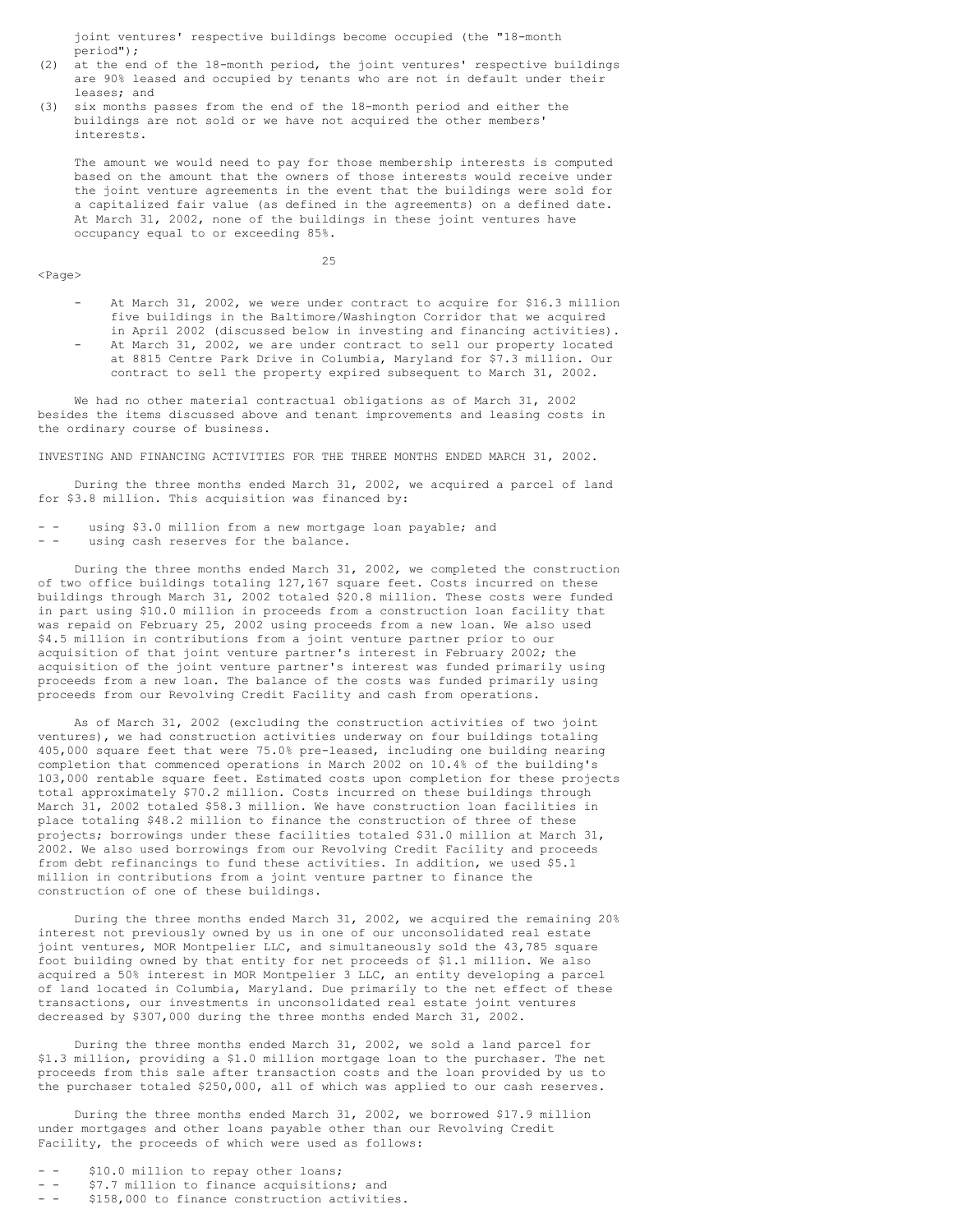joint ventures' respective buildings become occupied (the "18-month period");

- (2) at the end of the 18-month period, the joint ventures' respective buildings are 90% leased and occupied by tenants who are not in default under their leases; and
- six months passes from the end of the 18-month period and either the buildings are not sold or we have not acquired the other members' interests.

The amount we would need to pay for those membership interests is computed based on the amount that the owners of those interests would receive under the joint venture agreements in the event that the buildings were sold for a capitalized fair value (as defined in the agreements) on a defined date. At March 31, 2002, none of the buildings in these joint ventures have occupancy equal to or exceeding 85%.

<Page>

25

- At March 31, 2002, we were under contract to acquire for \$16.3 million five buildings in the Baltimore/Washington Corridor that we acquired in April 2002 (discussed below in investing and financing activities).
- At March 31, 2002, we are under contract to sell our property located at 8815 Centre Park Drive in Columbia, Maryland for \$7.3 million. Our contract to sell the property expired subsequent to March 31, 2002.

We had no other material contractual obligations as of March 31, 2002 besides the items discussed above and tenant improvements and leasing costs in the ordinary course of business.

INVESTING AND FINANCING ACTIVITIES FOR THE THREE MONTHS ENDED MARCH 31, 2002.

During the three months ended March 31, 2002, we acquired a parcel of land for \$3.8 million. This acquisition was financed by:

- - using \$3.0 million from a new mortgage loan payable; and
- - using cash reserves for the balance.

During the three months ended March 31, 2002, we completed the construction of two office buildings totaling 127,167 square feet. Costs incurred on these buildings through March 31, 2002 totaled \$20.8 million. These costs were funded in part using \$10.0 million in proceeds from a construction loan facility that was repaid on February 25, 2002 using proceeds from a new loan. We also used \$4.5 million in contributions from a joint venture partner prior to our acquisition of that joint venture partner's interest in February 2002; the acquisition of the joint venture partner's interest was funded primarily using proceeds from a new loan. The balance of the costs was funded primarily using proceeds from our Revolving Credit Facility and cash from operations.

As of March 31, 2002 (excluding the construction activities of two joint ventures), we had construction activities underway on four buildings totaling 405,000 square feet that were 75.0% pre-leased, including one building nearing completion that commenced operations in March 2002 on 10.4% of the building's 103,000 rentable square feet. Estimated costs upon completion for these projects total approximately \$70.2 million. Costs incurred on these buildings through March 31, 2002 totaled \$58.3 million. We have construction loan facilities in place totaling \$48.2 million to finance the construction of three of these projects; borrowings under these facilities totaled \$31.0 million at March 31, 2002. We also used borrowings from our Revolving Credit Facility and proceeds from debt refinancings to fund these activities. In addition, we used \$5.1 million in contributions from a joint venture partner to finance the construction of one of these buildings.

During the three months ended March 31, 2002, we acquired the remaining 20% interest not previously owned by us in one of our unconsolidated real estate joint ventures, MOR Montpelier LLC, and simultaneously sold the 43,785 square foot building owned by that entity for net proceeds of \$1.1 million. We also acquired a 50% interest in MOR Montpelier 3 LLC, an entity developing a parcel of land located in Columbia, Maryland. Due primarily to the net effect of these transactions, our investments in unconsolidated real estate joint ventures decreased by \$307,000 during the three months ended March 31, 2002.

During the three months ended March 31, 2002, we sold a land parcel for \$1.3 million, providing a \$1.0 million mortgage loan to the purchaser. The net proceeds from this sale after transaction costs and the loan provided by us to the purchaser totaled \$250,000, all of which was applied to our cash reserves.

During the three months ended March 31, 2002, we borrowed \$17.9 million under mortgages and other loans payable other than our Revolving Credit Facility, the proceeds of which were used as follows:

- \$10.0 million to repay other loans;
- - \$7.7 million to finance acquisitions; and
- - \$158,000 to finance construction activities.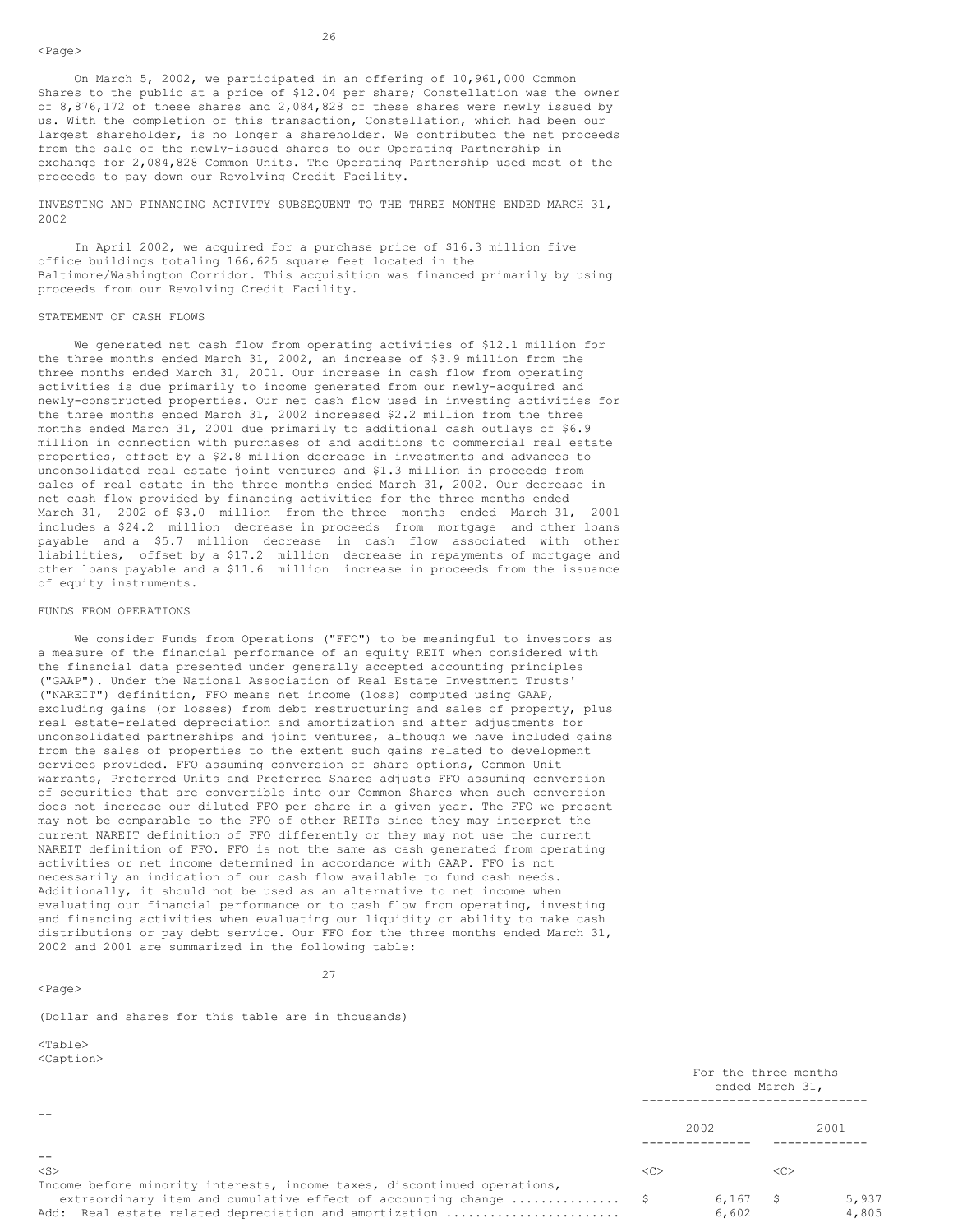On March 5, 2002, we participated in an offering of 10,961,000 Common Shares to the public at a price of \$12.04 per share; Constellation was the owner of 8,876,172 of these shares and 2,084,828 of these shares were newly issued by us. With the completion of this transaction, Constellation, which had been our largest shareholder, is no longer a shareholder. We contributed the net proceeds from the sale of the newly-issued shares to our Operating Partnership in exchange for 2,084,828 Common Units. The Operating Partnership used most of the proceeds to pay down our Revolving Credit Facility.

INVESTING AND FINANCING ACTIVITY SUBSEQUENT TO THE THREE MONTHS ENDED MARCH 31, 2002

In April 2002, we acquired for a purchase price of \$16.3 million five office buildings totaling 166,625 square feet located in the Baltimore/Washington Corridor. This acquisition was financed primarily by using proceeds from our Revolving Credit Facility.

### STATEMENT OF CASH FLOWS

We generated net cash flow from operating activities of \$12.1 million for the three months ended March 31, 2002, an increase of \$3.9 million from the three months ended March 31, 2001. Our increase in cash flow from operating activities is due primarily to income generated from our newly-acquired and newly-constructed properties. Our net cash flow used in investing activities for the three months ended March 31, 2002 increased \$2.2 million from the three months ended March 31, 2001 due primarily to additional cash outlays of \$6.9 million in connection with purchases of and additions to commercial real estate properties, offset by a \$2.8 million decrease in investments and advances to unconsolidated real estate joint ventures and \$1.3 million in proceeds from sales of real estate in the three months ended March 31, 2002. Our decrease in net cash flow provided by financing activities for the three months ended March 31, 2002 of \$3.0 million from the three months ended March 31, 2001 includes a \$24.2 million decrease in proceeds from mortgage and other loans payable and a \$5.7 million decrease in cash flow associated with other liabilities, offset by a \$17.2 million decrease in repayments of mortgage and other loans payable and a \$11.6 million increase in proceeds from the issuance of equity instruments.

#### FUNDS FROM OPERATIONS

We consider Funds from Operations ("FFO") to be meaningful to investors as a measure of the financial performance of an equity REIT when considered with the financial data presented under generally accepted accounting principles ("GAAP"). Under the National Association of Real Estate Investment Trusts' ("NAREIT") definition, FFO means net income (loss) computed using GAAP, excluding gains (or losses) from debt restructuring and sales of property, plus real estate-related depreciation and amortization and after adjustments for unconsolidated partnerships and joint ventures, although we have included gains from the sales of properties to the extent such gains related to development services provided. FFO assuming conversion of share options, Common Unit warrants, Preferred Units and Preferred Shares adjusts FFO assuming conversion of securities that are convertible into our Common Shares when such conversion does not increase our diluted FFO per share in a given year. The FFO we present may not be comparable to the FFO of other REITs since they may interpret the current NAREIT definition of FFO differently or they may not use the current NAREIT definition of FFO. FFO is not the same as cash generated from operating activities or net income determined in accordance with GAAP. FFO is not necessarily an indication of our cash flow available to fund cash needs. Additionally, it should not be used as an alternative to net income when evaluating our financial performance or to cash flow from operating, investing and financing activities when evaluating our liquidity or ability to make cash distributions or pay debt service. Our FFO for the three months ended March 31, 2002 and 2001 are summarized in the following table:

<Page>

27

(Dollar and shares for this table are in thousands)

 $<$ Table $>$  $\tanif$ 

| NUQULIUIIZ                                                               | For the three months<br>ended March 31, |       |              |       |  |
|--------------------------------------------------------------------------|-----------------------------------------|-------|--------------|-------|--|
|                                                                          |                                         | 2002  |              | 2001  |  |
| $ -$                                                                     |                                         |       |              |       |  |
| $<$ S $>$                                                                | < <sub></sub>                           |       | <<           |       |  |
| Income before minority interests, income taxes, discontinued operations, |                                         |       |              |       |  |
| extraordinary item and cumulative effect of accounting change \$         |                                         | 6,167 | $\mathsf{S}$ | 5,937 |  |
| Add: Real estate related depreciation and amortization                   |                                         | 6,602 |              | 4,805 |  |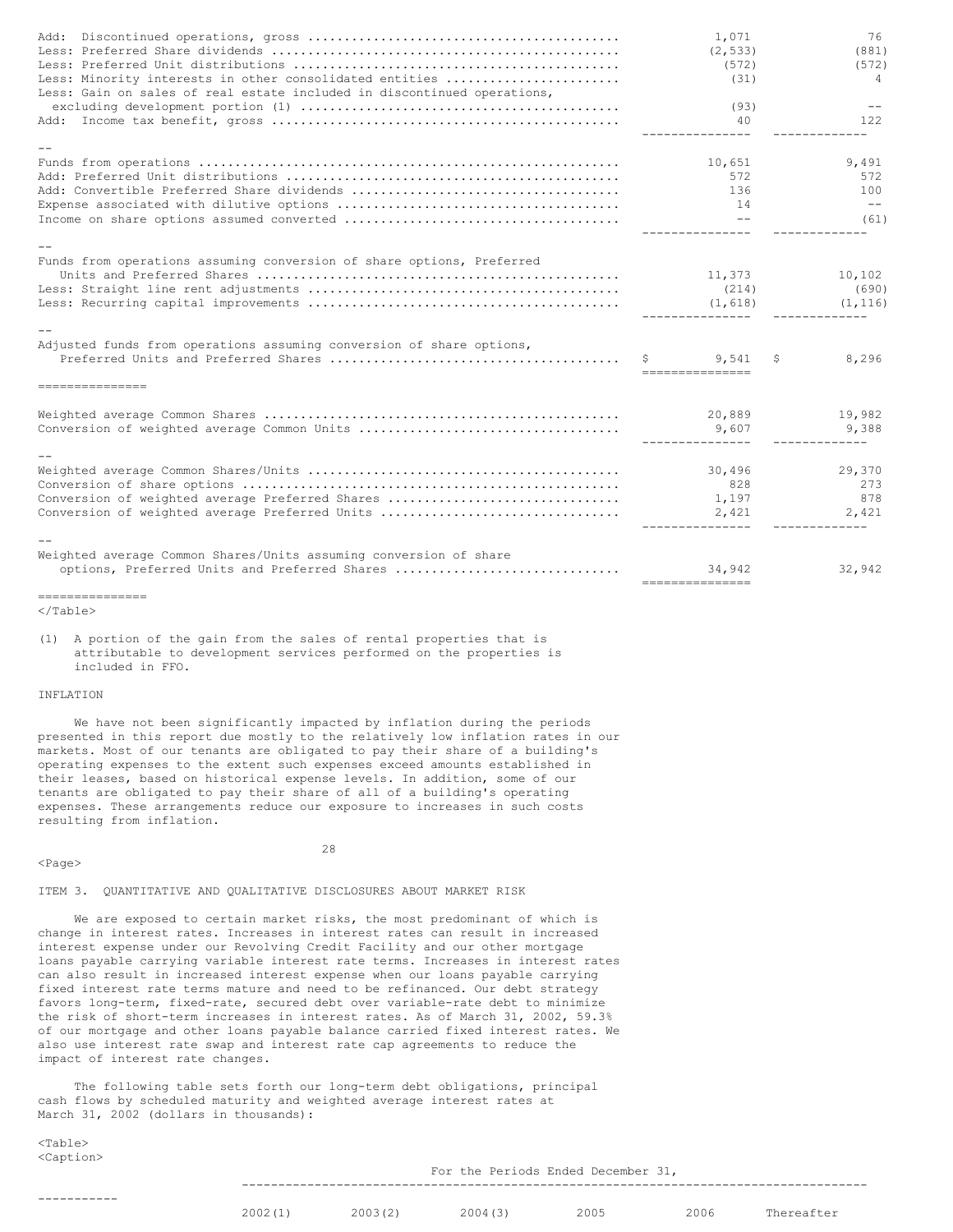| Less: Minority interests in other consolidated entities<br>Less: Gain on sales of real estate included in discontinued operations, | 1,071<br>(2, 533)<br>(572)<br>(31)              | 76<br>(881)<br>(572)<br>4                    |
|------------------------------------------------------------------------------------------------------------------------------------|-------------------------------------------------|----------------------------------------------|
|                                                                                                                                    | (93)<br>40                                      | 122                                          |
|                                                                                                                                    | ---------------                                 |                                              |
|                                                                                                                                    | 10,651<br>572<br>136<br>14<br>$ -$              | 9,491<br>572<br>100<br>$- -$<br>(61)         |
|                                                                                                                                    |                                                 |                                              |
| Funds from operations assuming conversion of share options, Preferred                                                              | 11,373<br>(214)<br>(1, 618)<br>---------------- | 10,102<br>(690)<br>(1, 116)<br>------------- |
|                                                                                                                                    |                                                 |                                              |
| Adjusted funds from operations assuming conversion of share options,                                                               | 9,541<br>------------------                     | 8,296<br>S                                   |
| ----------------                                                                                                                   |                                                 |                                              |
|                                                                                                                                    | 20,889<br>9,607<br>----------------             | 19,982<br>9,388<br>____________              |
|                                                                                                                                    |                                                 |                                              |
| Conversion of weighted average Preferred Shares<br>Conversion of weighted average Preferred Units                                  | 30,496<br>828<br>1,197<br>2,421                 | 29,370<br>273<br>878<br>2,421                |
|                                                                                                                                    |                                                 |                                              |
| Weighted average Common Shares/Units assuming conversion of share<br>options, Preferred Units and Preferred Shares                 | 34,942<br>----------------                      | 32,942                                       |
| ----------------                                                                                                                   |                                                 |                                              |

(1) A portion of the gain from the sales of rental properties that is attributable to development services performed on the properties is included in FFO.

# INFLATION

We have not been significantly impacted by inflation during the periods presented in this report due mostly to the relatively low inflation rates in our markets. Most of our tenants are obligated to pay their share of a building's operating expenses to the extent such expenses exceed amounts established in their leases, based on historical expense levels. In addition, some of our tenants are obligated to pay their share of all of a building's operating expenses. These arrangements reduce our exposure to increases in such costs resulting from inflation.

<Page>

28

# ITEM 3. QUANTITATIVE AND QUALITATIVE DISCLOSURES ABOUT MARKET RISK

We are exposed to certain market risks, the most predominant of which is change in interest rates. Increases in interest rates can result in increased interest expense under our Revolving Credit Facility and our other mortgage loans payable carrying variable interest rate terms. Increases in interest rates can also result in increased interest expense when our loans payable carrying fixed interest rate terms mature and need to be refinanced. Our debt strategy favors long-term, fixed-rate, secured debt over variable-rate debt to minimize the risk of short-term increases in interest rates. As of March 31, 2002, 59.3% of our mortgage and other loans payable balance carried fixed interest rates. We also use interest rate swap and interest rate cap agreements to reduce the impact of interest rate changes.

The following table sets forth our long-term debt obligations, principal cash flows by scheduled maturity and weighted average interest rates at March 31, 2002 (dollars in thousands):

 $<$ Table $>$ <Caption>

For the Periods Ended December 31, --------------------------------------------------------------------------------------

-----------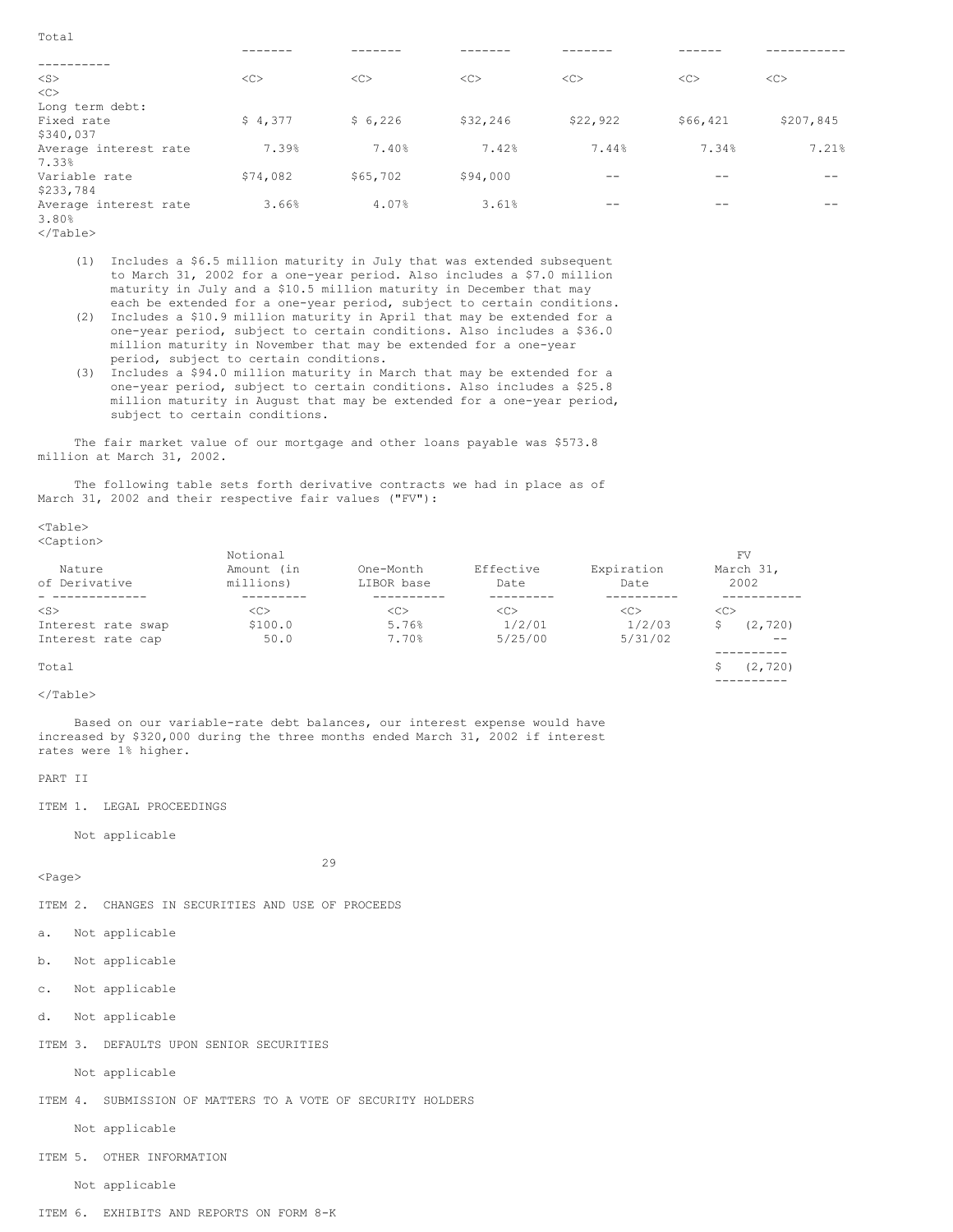| Total                 |          |          |          |          |          |           |
|-----------------------|----------|----------|----------|----------|----------|-----------|
|                       |          |          |          |          |          |           |
|                       |          |          |          |          |          |           |
| $<$ S $>$             | <<       | <<       | <<       | <<       | <<       | <<        |
| $<\infty$             |          |          |          |          |          |           |
| Long term debt:       |          |          |          |          |          |           |
| Fixed rate            | \$4,377  | \$6,226  | \$32,246 | \$22,922 | \$66,421 | \$207,845 |
| \$340,037             |          |          |          |          |          |           |
| Average interest rate | 7.39%    | 7.40%    | 7.42%    | 7.44%    | 7.34%    | 7.21%     |
| 7.33%                 |          |          |          |          |          |           |
| Variable rate         | \$74,082 | \$65,702 | \$94,000 |          |          |           |
| \$233,784             |          |          |          |          |          |           |
| Average interest rate | 3.66%    | 4.07%    | 3.61%    |          |          |           |
| 3.80%                 |          |          |          |          |          |           |
| $\langle$ Table>      |          |          |          |          |          |           |

(1) Includes a \$6.5 million maturity in July that was extended subsequent to March 31, 2002 for a one-year period. Also includes a \$7.0 million maturity in July and a \$10.5 million maturity in December that may

- each be extended for a one-year period, subject to certain conditions. (2) Includes a \$10.9 million maturity in April that may be extended for a one-year period, subject to certain conditions. Also includes a \$36.0 million maturity in November that may be extended for a one-year period, subject to certain conditions.
- (3) Includes a \$94.0 million maturity in March that may be extended for a one-year period, subject to certain conditions. Also includes a \$25.8 million maturity in August that may be extended for a one-year period, subject to certain conditions.

The fair market value of our mortgage and other loans payable was \$573.8 million at March 31, 2002.

The following table sets forth derivative contracts we had in place as of March 31, 2002 and their respective fair values ("FV"):

 $<$ Table $>$ <Caption>

| Nature<br>of Derivative | Notional<br>Amount (in<br>millions) | One-Month<br>LIBOR base | Effective<br>Date | Expiration<br>Date | FV<br>March 31,<br>2002 |          |
|-------------------------|-------------------------------------|-------------------------|-------------------|--------------------|-------------------------|----------|
|                         |                                     |                         |                   |                    |                         |          |
| $<$ S $>$               | <c></c>                             | < <sub></sub>           | <<                | <<                 | < <sub></sub>           |          |
| Interest rate swap      | \$100.0                             | 5.76%                   | 1/2/01            | 1/2/03             |                         | (2, 720) |
| Interest rate cap       | 50.0                                | 7.70%                   | 5/25/00           | 5/31/02            |                         | $- -$    |
|                         |                                     |                         |                   |                    |                         |          |
| Total                   |                                     |                         |                   |                    |                         | (2, 720) |

----------

</Table>

Based on our variable-rate debt balances, our interest expense would have increased by \$320,000 during the three months ended March 31, 2002 if interest rates were 1% higher.

PART II

ITEM 1. LEGAL PROCEEDINGS

Not applicable

 $<$ Page $>$ 

29

ITEM 2. CHANGES IN SECURITIES AND USE OF PROCEEDS

- a. Not applicable
- b. Not applicable
- c. Not applicable
- d. Not applicable
- ITEM 3. DEFAULTS UPON SENIOR SECURITIES

Not applicable

ITEM 4. SUBMISSION OF MATTERS TO A VOTE OF SECURITY HOLDERS

Not applicable

ITEM 5. OTHER INFORMATION

Not applicable

ITEM 6. EXHIBITS AND REPORTS ON FORM 8-K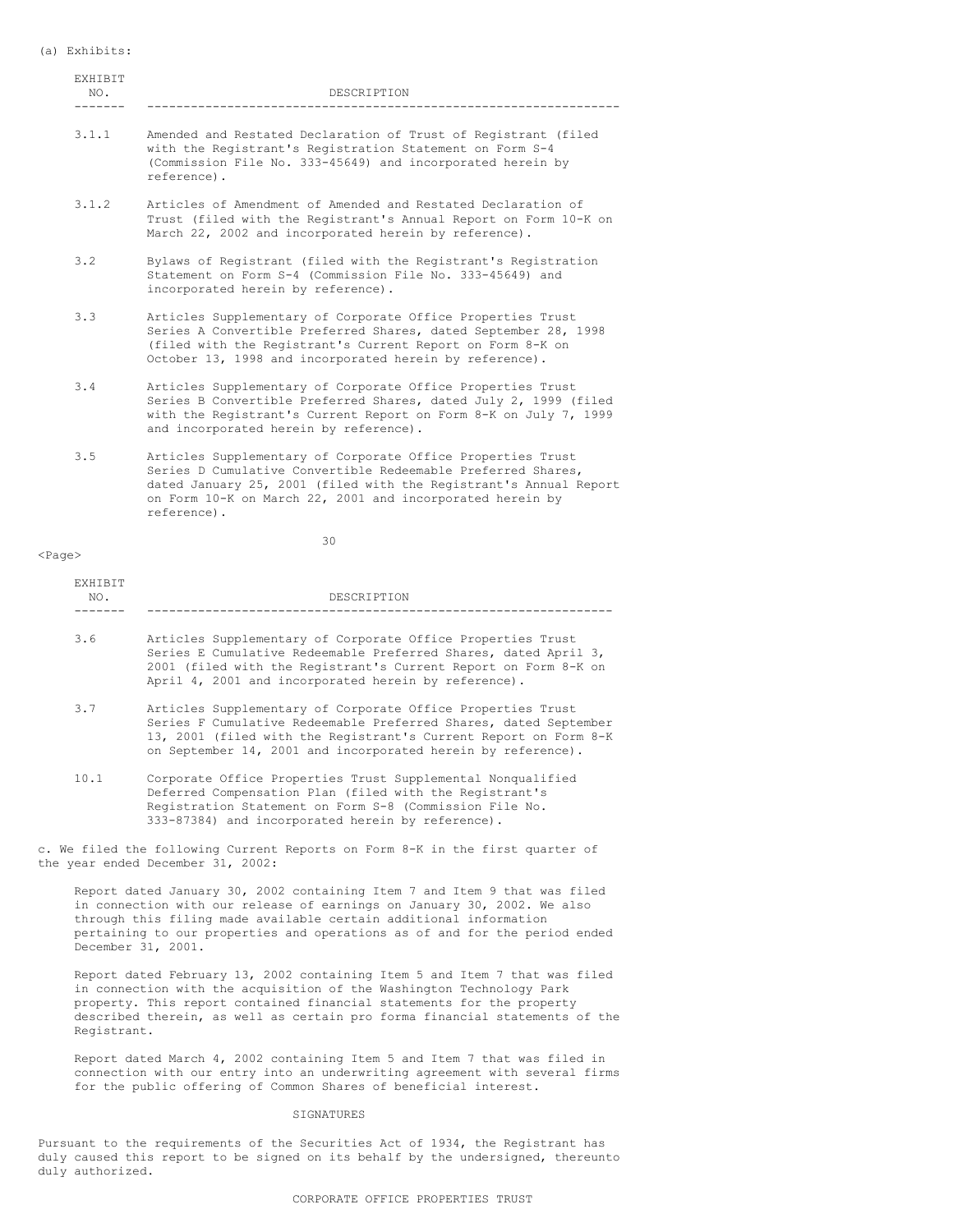### (a) Exhibits:

| <b>EXHIBIT</b><br>NO. | DESCRIPTION                                                                                                                                                                                                                                             |  |  |  |  |
|-----------------------|---------------------------------------------------------------------------------------------------------------------------------------------------------------------------------------------------------------------------------------------------------|--|--|--|--|
| 3.1.1                 | Amended and Restated Declaration of Trust of Registrant (filed<br>with the Registrant's Registration Statement on Form S-4<br>(Commission File No. 333-45649) and incorporated herein by<br>reference).                                                 |  |  |  |  |
| 3.1.2                 | Articles of Amendment of Amended and Restated Declaration of<br>Trust (filed with the Registrant's Annual Report on Form 10-K on<br>March 22, 2002 and incorporated herein by reference).                                                               |  |  |  |  |
| 3.2                   | Bylaws of Registrant (filed with the Registrant's Registration<br>Statement on Form S-4 (Commission File No. 333-45649) and<br>incorporated herein by reference).                                                                                       |  |  |  |  |
| 3.3                   | Articles Supplementary of Corporate Office Properties Trust<br>Series A Convertible Preferred Shares, dated September 28, 1998<br>(filed with the Registrant's Current Report on Form 8-K on<br>October 13, 1998 and incorporated herein by reference). |  |  |  |  |
| 3.4                   | Articles Supplementary of Corporate Office Properties Trust<br>Series B Convertible Preferred Shares, dated July 2, 1999 (filed<br>with the Registrant's Current Report on Form 8-K on July 7, 1999<br>and incorporated herein by reference).           |  |  |  |  |
|                       |                                                                                                                                                                                                                                                         |  |  |  |  |

3.5 Articles Supplementary of Corporate Office Properties Trust Series D Cumulative Convertible Redeemable Preferred Shares, dated January 25, 2001 (filed with the Registrant's Annual Report on Form 10-K on March 22, 2001 and incorporated herein by reference).

### <Page>

EXHIBIT

30

| <b>FARIDII</b><br>NO. | DESCRIPTION                                                                                                                                                                                                                                                         |  |  |  |  |
|-----------------------|---------------------------------------------------------------------------------------------------------------------------------------------------------------------------------------------------------------------------------------------------------------------|--|--|--|--|
| 3.6                   | Articles Supplementary of Corporate Office Properties Trust<br>Series E Cumulative Redeemable Preferred Shares, dated April 3,<br>2001 (filed with the Registrant's Current Report on Form 8-K on<br>April 4, 2001 and incorporated herein by reference).           |  |  |  |  |
| 3.7                   | Articles Supplementary of Corporate Office Properties Trust<br>Series F Cumulative Redeemable Preferred Shares, dated September<br>13, 2001 (filed with the Registrant's Current Report on Form 8-K<br>on September 14, 2001 and incorporated herein by reference). |  |  |  |  |
| 10.1                  | Corporate Office Properties Trust Supplemental Nonqualified<br>Deferred Compensation Plan (filed with the Registrant's                                                                                                                                              |  |  |  |  |

Deferred Compensation Plan (filed with the Registrant's Registration Statement on Form S-8 (Commission File No. 333-87384) and incorporated herein by reference).

c. We filed the following Current Reports on Form 8-K in the first quarter of the year ended December 31, 2002:

Report dated January 30, 2002 containing Item 7 and Item 9 that was filed in connection with our release of earnings on January 30, 2002. We also through this filing made available certain additional information pertaining to our properties and operations as of and for the period ended December 31, 2001.

Report dated February 13, 2002 containing Item 5 and Item 7 that was filed in connection with the acquisition of the Washington Technology Park property. This report contained financial statements for the property described therein, as well as certain pro forma financial statements of the Registrant.

Report dated March 4, 2002 containing Item 5 and Item 7 that was filed in connection with our entry into an underwriting agreement with several firms for the public offering of Common Shares of beneficial interest.

#### **SIGNATURES**

Pursuant to the requirements of the Securities Act of 1934, the Registrant has duly caused this report to be signed on its behalf by the undersigned, thereunto duly authorized.